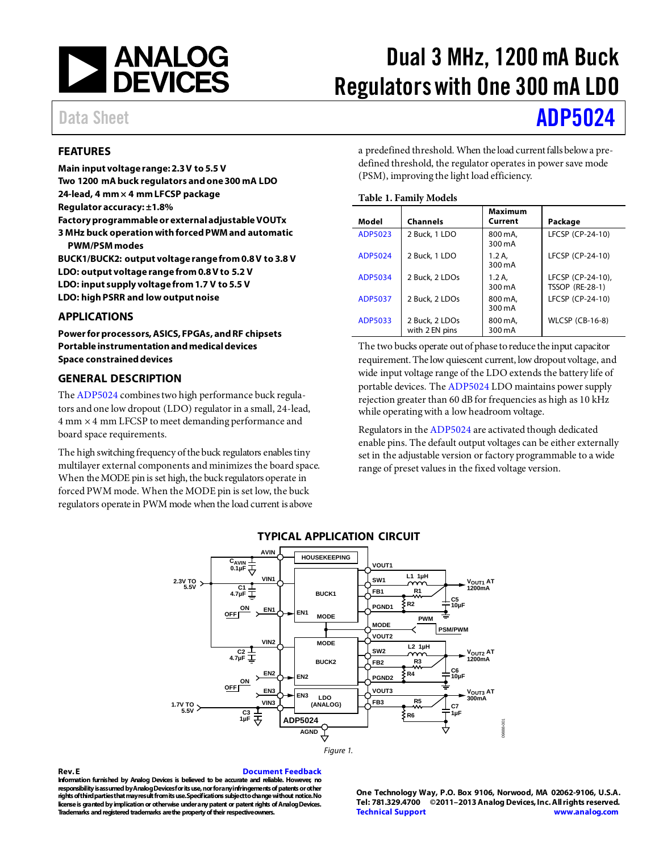

# Dual 3 MHz, 1200 mA Buck Regulators with One 300 mA LDO

## Data Sheet **[ADP5024](http://www.analog.com/ADP5024?doc=ADP5024.pdf)**

### <span id="page-0-0"></span>**FEATURES**

**Main input voltage range: 2.3 V to 5.5 V Two 1200 mA buck regulators and one 300 mA LDO 24-lead, 4 mm × 4 mm LFCSP package Regulator accuracy: ±1.8% Factory programmable or external adjustableVOUTx 3 MHz buck operation with forced PWM and automatic PWM/PSM modes BUCK1/BUCK2: output voltage range from 0.8 V to 3.8 V LDO: output voltage range from 0.8 V to 5.2 V**

**LDO: input supply voltage from 1.7 V to 5.5 V LDO: high PSRR and low output noise**

### <span id="page-0-1"></span>**APPLICATIONS**

**Power for processors, ASICS, FPGAs, and RF chipsets Portable instrumentation and medical devices Space constrained devices**

### <span id="page-0-2"></span>**GENERAL DESCRIPTION**

Th[e ADP5024](http://www.analog.com/ADP5024?src=ADP5024.pdf) combines two high performance buck regulators and one low dropout (LDO) regulator in a small, 24-lead, 4 mm × 4 mm LFCSP to meet demanding performance and board space requirements.

<span id="page-0-3"></span>The high switching frequency of the buck regulators enables tiny multilayer external components and minimizes the board space. When the MODE pin is set high, the buck regulators operate in forced PWM mode. When the MODE pin is set low, the buck regulators operate in PWM mode when the load current is above

a predefined threshold. When the load current falls below a predefined threshold, the regulator operates in power save mode (PSM), improving the light load efficiency.

### **Table 1. Family Models**

| Model          | <b>Channels</b>                  | Maximum<br>Current | Package                                     |
|----------------|----------------------------------|--------------------|---------------------------------------------|
| ADP5023        | 2 Buck, 1 LDO                    | 800 mA.<br>300 mA  | LFCSP (CP-24-10)                            |
| ADP5024        | 2 Buck, 1 LDO                    | 1.2 A.<br>300 mA   | LFCSP (CP-24-10)                            |
| ADP5034        | 2 Buck, 2 LDOs                   | 1.2A<br>300 mA     | LFCSP (CP-24-10),<br><b>TSSOP (RE-28-1)</b> |
| <b>ADP5037</b> | 2 Buck, 2 LDOs                   | 800 mA.<br>300 mA  | LFCSP (CP-24-10)                            |
| ADP5033        | 2 Buck, 2 LDOs<br>with 2 EN pins | 800 mA,<br>300 mA  | <b>WLCSP (CB-16-8)</b>                      |

The two bucks operate out of phase to reduce the input capacitor requirement. The low quiescent current, low dropout voltage, and wide input voltage range of the LDO extends the battery life of portable devices. Th[e ADP5024](http://www.analog.com/ADP5024?src=ADP5024.pdf) LDO maintains power supply rejection greater than 60 dB for frequencies as high as 10 kHz while operating with a low headroom voltage.

Regulators in th[e ADP5024](http://www.analog.com/ADP5024?src=ADP5024.pdf) are activated though dedicated enable pins. The default output voltages can be either externally set in the adjustable version or factory programmable to a wide range of preset values in the fixed voltage version.



### **TYPICAL APPLICATION CIRCUIT**



<span id="page-0-4"></span>**Rev.E [Document Feedback](https://form.analog.com/Form_Pages/feedback/documentfeedback.aspx?doc=ADP5024.pdf&product=ADP5024&rev=E) Information furnished by Analog Devices is believed to be accurate and reliable. However, no responsibility is assumed by Analog Devices for its use, nor for any infringements of patents or other rights of third parties that may result from its use. Specifications subject to change without notice. No license is granted by implication or otherwise under any patent or patent rights of Analog Devices. Trademarks and registered trademarks are the property of their respective owners.**

**One Technology Way, P.O. Box 9106, Norwood, MA 02062-9106, U.S.A. Tel: 781.329.4700 ©2011–2013Analog Devices, Inc. All rights reserved. [Technical Support](http://www.analog.com/en/content/technical_support_page/fca.html) [www.analog.com](http://www.analog.com/)**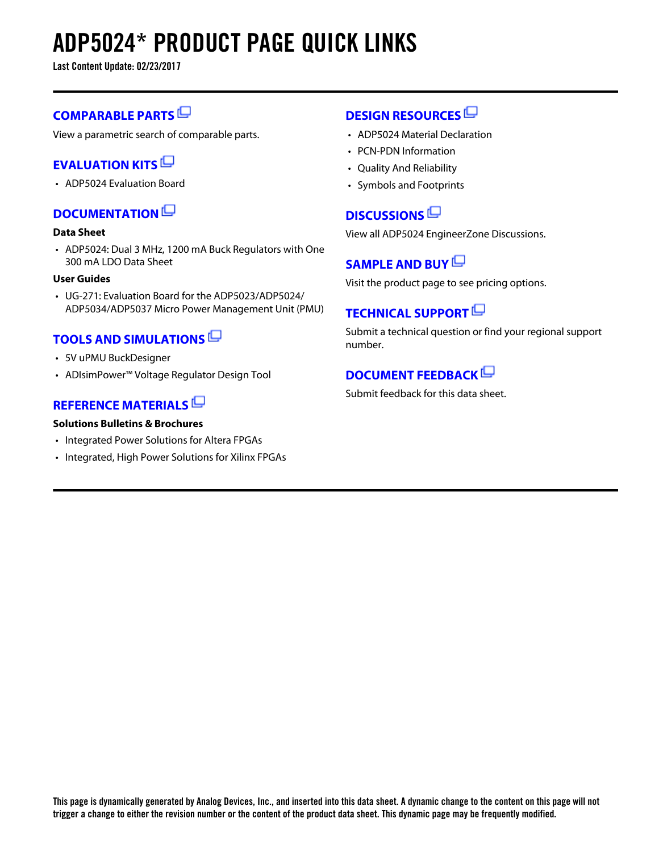# **ADP5024\* PRODUCT PAGE QUICK LINKS**

**Last Content Update: 02/23/2017**

## **[COMPARABLE PARTS](http://www.analog.com/parametricsearch/en/11002?doc=ADP5024.pdf&p0=1&lsrc=pst)**

View a parametric search of comparable parts.

## **[EVALUATION KITS](http://www.analog.com/adp5024/evalkits?doc=ADP5024.pdf&p0=1&lsrc=ek)**

• ADP5024 Evaluation Board

## **[DOCUMENTATION](http://www.analog.com/adp5024/documentation?doc=ADP5024.pdf&p0=1&lsrc=doc)**

### **Data Sheet**

• ADP5024: Dual 3 MHz, 1200 mA Buck Regulators with One 300 mA LDO Data Sheet

### **User Guides**

• UG-271: Evaluation Board for the ADP5023/ADP5024/ ADP5034/ADP5037 Micro Power Management Unit (PMU)

## **[TOOLS AND SIMULATIONS](http://www.analog.com/adp5024/tools?doc=ADP5024.pdf&p0=1&lsrc=tools)**

- 5V uPMU BuckDesigner
- ADIsimPower™ Voltage Regulator Design Tool

### **[REFERENCE MATERIALS](http://www.analog.com/adp5024/referencematerials?doc=ADP5024.pdf&p0=1&lsrc=rm)**

### **Solutions Bulletins & Brochures**

- Integrated Power Solutions for Altera FPGAs
- Integrated, High Power Solutions for Xilinx FPGAs

### **[DESIGN RESOURCES](http://www.analog.com/adp5024/designsources?doc=ADP5024.pdf&p0=1&lsrc=dr)**

- ADP5024 Material Declaration
- PCN-PDN Information
- Quality And Reliability
- Symbols and Footprints

## **[DISCUSSIONS](http://www.analog.com/adp5024/discussions?doc=ADP5024.pdf&p0=1&lsrc=disc)**

View all ADP5024 EngineerZone Discussions.

## **[SAMPLE AND BUY](http://www.analog.com/adp5024/sampleandbuy?doc=ADP5024.pdf&p0=1&lsrc=sb)**

Visit the product page to see pricing options.

## **[TECHNICAL SUPPORT](http://www.analog.com/support/technical-support.html?doc=ADP5024.pdf&p0=1&lsrc=techs)**

Submit a technical question or find your regional support number.

## **[DOCUMENT FEEDBACK](https://form.analog.com/Form_Pages/feedback/documentfeedback.aspx?doc=ADP5024.pdf&product=ADP5024&p0=1&lsrc=dfs)**

Submit feedback for this data sheet.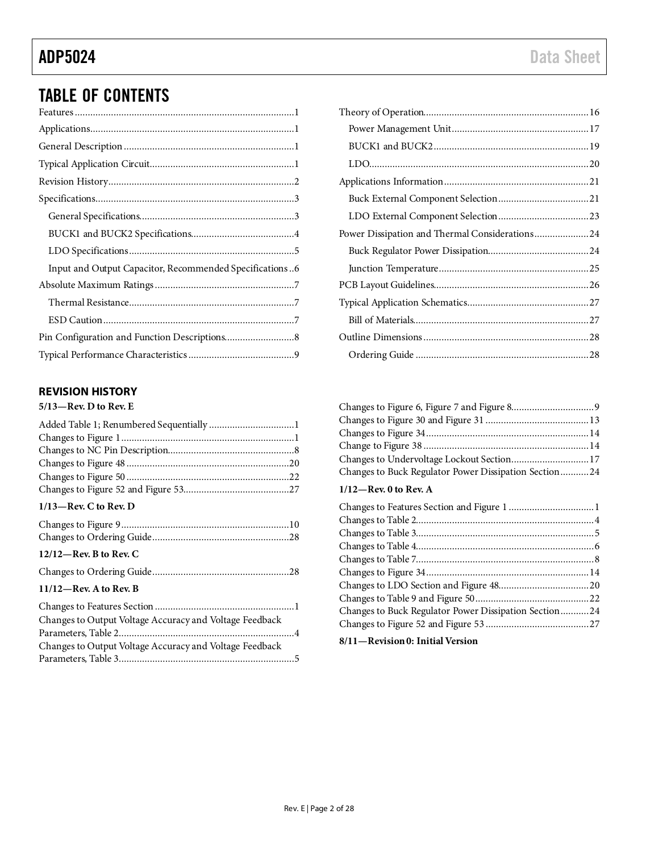## TABLE OF CONTENTS

| Input and Output Capacitor, Recommended Specifications6 |  |
|---------------------------------------------------------|--|
|                                                         |  |
|                                                         |  |
|                                                         |  |
|                                                         |  |
|                                                         |  |
|                                                         |  |

### <span id="page-2-0"></span>**REVISION HISTORY**

**5/13—Rev. D to Rev. E**

### **1/13—Rev. C to Rev. D**

| $12/12$ —Rev. B to Rev. C                               |  |
|---------------------------------------------------------|--|
|                                                         |  |
| $11/12$ —Rev. A to Rev. B                               |  |
|                                                         |  |
| Changes to Output Voltage Accuracy and Voltage Feedback |  |
|                                                         |  |

Changes to Output Voltage Accuracy and Voltage Feedback Parameters, Table 3....................................................................5

| Changes to Undervoltage Lockout Section 17            |  |
|-------------------------------------------------------|--|
| Changes to Buck Regulator Power Dissipation Section24 |  |

### **1/12—Rev. 0 to Rev. A**

| Changes to Buck Regulator Power Dissipation Section24                                                                          |  |
|--------------------------------------------------------------------------------------------------------------------------------|--|
|                                                                                                                                |  |
| $\mathbf{r}$ , and $\mathbf{r}$ , and $\mathbf{r}$ , and $\mathbf{r}$ , and $\mathbf{r}$ , and $\mathbf{r}$ , and $\mathbf{r}$ |  |

### **8/11—Revision 0: Initial Version**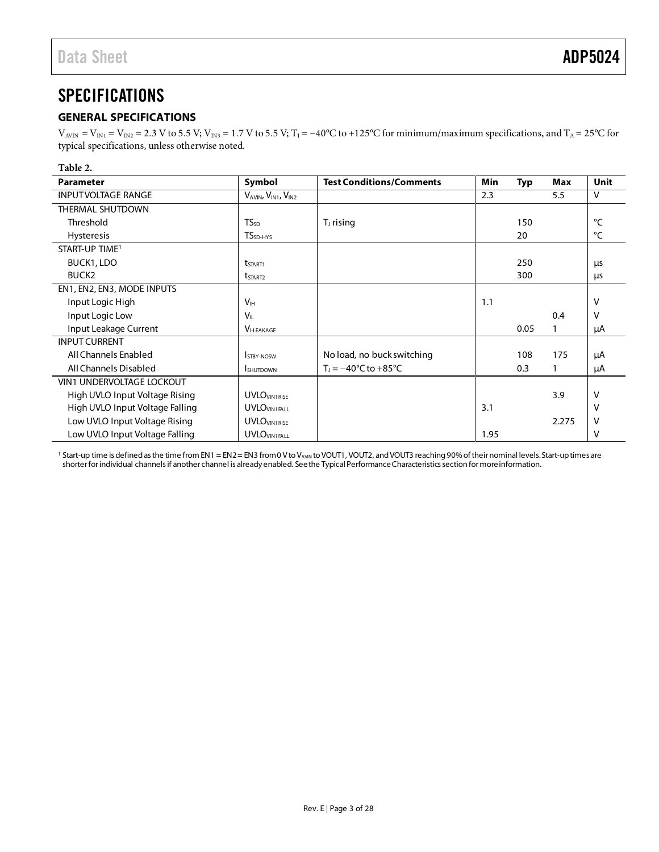## <span id="page-3-0"></span>**SPECIFICATIONS**

### <span id="page-3-1"></span>**GENERAL SPECIFICATIONS**

 $V_{AVIN} = V_{IN1} = V_{IN2} = 2.3$  V to 5.5 V;  $V_{IN3} = 1.7$  V to 5.5 V;  $T_1 = -40$ °C to +125°C for minimum/maximum specifications, and  $T_A = 25$ °C for typical specifications, unless otherwise noted.

### **Table 2.**

| <b>Parameter</b>                | Symbol                     | <b>Test Conditions/Comments</b>        | Min  | <b>Typ</b> | Max   | <b>Unit</b>  |
|---------------------------------|----------------------------|----------------------------------------|------|------------|-------|--------------|
| <b>INPUTVOLTAGE RANGE</b>       | VAVIN, VIN1, VIN2          |                                        | 2.3  |            | 5.5   | $\mathsf{V}$ |
| THERMAL SHUTDOWN                |                            |                                        |      |            |       |              |
| Threshold                       | $TS_{SD}$                  | $TJ$ rising                            |      | 150        |       | °⊂           |
| <b>Hysteresis</b>               | TS <sub>SD-HYS</sub>       |                                        |      | 20         |       | °⊂           |
| START-UP TIME <sup>1</sup>      |                            |                                        |      |            |       |              |
| BUCK1, LDO                      | <b>t</b> <sub>START1</sub> |                                        |      | 250        |       | μs           |
| BUCK <sub>2</sub>               | t <sub>START2</sub>        |                                        |      | 300        |       | μs           |
| EN1, EN2, EN3, MODE INPUTS      |                            |                                        |      |            |       |              |
| Input Logic High                | V <sub>IH</sub>            |                                        | 1.1  |            |       | V            |
| Input Logic Low                 | $V_{\parallel}$            |                                        |      |            | 0.4   | v            |
| Input Leakage Current           | <b>VI-LEAKAGE</b>          |                                        |      | 0.05       |       | μA           |
| <b>INPUT CURRENT</b>            |                            |                                        |      |            |       |              |
| All Channels Enabled            | <b>STRY-NOSW</b>           | No load, no buck switching             |      | 108        | 175   | μA           |
| All Channels Disabled           | <b>I</b> SHUTDOWN          | $T_1 = -40^{\circ}C$ to $+85^{\circ}C$ |      | 0.3        |       | μA           |
| VIN1 UNDERVOLTAGE LOCKOUT       |                            |                                        |      |            |       |              |
| High UVLO Input Voltage Rising  | <b>UVLO</b> VIN1RISE       |                                        |      |            | 3.9   | V            |
| High UVLO Input Voltage Falling | <b>UVLO</b> VIN1FALL       |                                        | 3.1  |            |       | V            |
| Low UVLO Input Voltage Rising   | <b>UVLO</b> VIN1RISE       |                                        |      |            | 2.275 | ν            |
| Low UVLO Input Voltage Falling  | <b>UVLOVIN1FALL</b>        |                                        | 1.95 |            |       | $\mathsf{V}$ |

<sup>1</sup> Start-up time is defined as the time from EN1 = EN2 = EN3 from 0 V to V<sub>AVIN</sub> to VOUT1, VOUT2, and VOUT3 reaching 90% of their nominal levels. Start-up times are shorter for individual channels if another channel is already enabled. See the [Typical Performance Characteristics](#page-9-0) section for more information.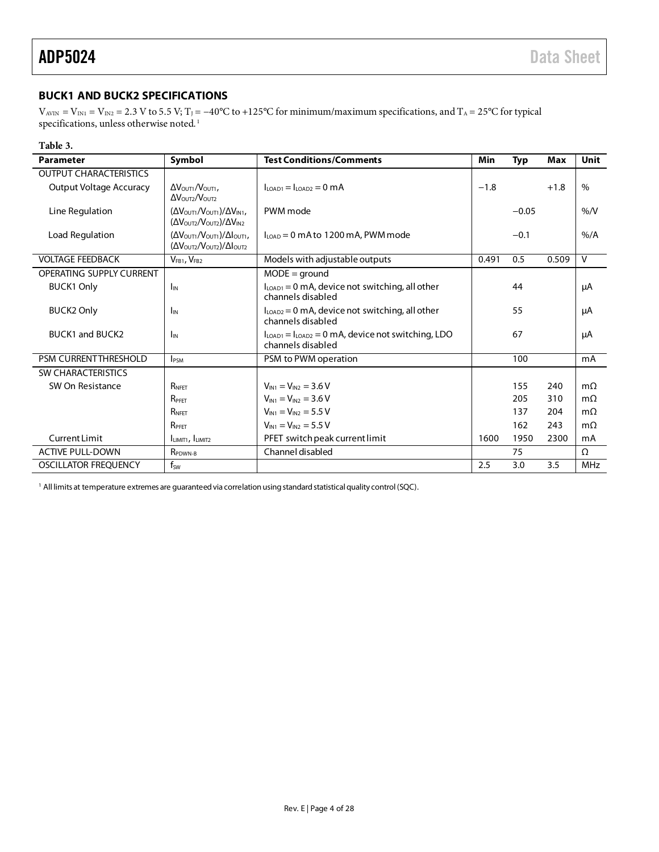### <span id="page-4-0"></span>**BUCK1 AND BUCK2 SPECIFICATIONS**

 $V_{AVIN} = V_{IN1} = V_{IN2} = 2.3$  V to 5.5 V; T<sub>J</sub> = -40°C to +125°C for minimum/maximum specifications, and T<sub>A</sub> = 25°C for typical specifications, unless otherwise noted.  $^{\mathrm{l}}$ 

### **Table 3.**

| <b>Parameter</b>               | Symbol                                                                                                                             | <b>Test Conditions/Comments</b>                                           | Min    | <b>Typ</b> | <b>Max</b> | Unit           |
|--------------------------------|------------------------------------------------------------------------------------------------------------------------------------|---------------------------------------------------------------------------|--------|------------|------------|----------------|
| <b>OUTPUT CHARACTERISTICS</b>  |                                                                                                                                    |                                                                           |        |            |            |                |
| <b>Output Voltage Accuracy</b> | $\Delta V_{\text{OUT1}}/V_{\text{OUT1}}$<br>$\Delta V_{\text{OUT2}}/V_{\text{OUT2}}$                                               | $ILOAD1 = ILOAD2 = 0 mA$                                                  | $-1.8$ |            | $+1.8$     | $\%$           |
| Line Regulation                | $(\Delta V_{\text{OUT1}}/V_{\text{OUT1}})/\Delta V_{\text{INI}}$<br>$(\Delta V_{\text{OUT}}/V_{\text{OUT}})/\Delta V_{\text{IN2}}$ | PWM mode                                                                  |        | $-0.05$    |            | %N             |
| Load Regulation                | $(\Delta V_{\text{OUT1}}/V_{\text{OUT1}})/\Delta I_{\text{OUT1}}$<br>(ΔVOUT2/VOUT2)/ΔΙΟUΤ2                                         | $ILOAD = 0$ mA to 1200 mA, PWM mode                                       |        | $-0.1$     |            | $%$ /A         |
| <b>VOLTAGE FEEDBACK</b>        | $V_{FB1}$ , $V_{FB2}$                                                                                                              | Models with adjustable outputs                                            | 0.491  | 0.5        | 0.509      | $\overline{V}$ |
| OPERATING SUPPLY CURRENT       |                                                                                                                                    | $MODE = ground$                                                           |        |            |            |                |
| <b>BUCK1 Only</b>              | $I_{\text{IN}}$                                                                                                                    | $ILOAD1 = 0$ mA, device not switching, all other<br>channels disabled     |        | 44         |            | μA             |
| <b>BUCK2 Only</b>              | I <sub>IN</sub>                                                                                                                    | $I_{LOAD2} = 0$ mA, device not switching, all other<br>channels disabled  |        | 55         |            | μA             |
| <b>BUCK1 and BUCK2</b>         | IN                                                                                                                                 | $ILOAD1 = ILOAD2 = 0 mA$ , device not switching, LDO<br>channels disabled |        | 67         |            | μA             |
| <b>PSM CURRENTTHRESHOLD</b>    | <b>PSM</b>                                                                                                                         | PSM to PWM operation                                                      |        | 100        |            | mA             |
| <b>SW CHARACTERISTICS</b>      |                                                                                                                                    |                                                                           |        |            |            |                |
| SW On Resistance               | RNFFT                                                                                                                              | $V_{IN1} = V_{IN2} = 3.6 V$                                               |        | 155        | 240        | $m\Omega$      |
|                                | RPFFT                                                                                                                              | $V_{IN1} = V_{IN2} = 3.6 V$                                               |        | 205        | 310        | $m\Omega$      |
|                                | RNFFT                                                                                                                              | $V_{IN1} = V_{IN2} = 5.5 V$                                               |        | 137        | 204        | $m\Omega$      |
|                                | R <sub>PFFT</sub>                                                                                                                  | $V_{IN1} = V_{IN2} = 5.5 V$                                               |        | 162        | 243        | $m\Omega$      |
| <b>Current Limit</b>           | $ILMIT1$ , $ILMIT2$                                                                                                                | PFET switch peak current limit                                            | 1600   | 1950       | 2300       | mA             |
| <b>ACTIVE PULL-DOWN</b>        | R <sub>PDWN-B</sub>                                                                                                                | Channel disabled                                                          |        | 75         |            | $\Omega$       |
| <b>OSCILLATOR FREOUENCY</b>    | f <sub>SW</sub>                                                                                                                    |                                                                           | 2.5    | 3.0        | 3.5        | <b>MHz</b>     |

<sup>1</sup> All limits at temperature extremes are guaranteed via correlation using standard statistical quality control (SQC).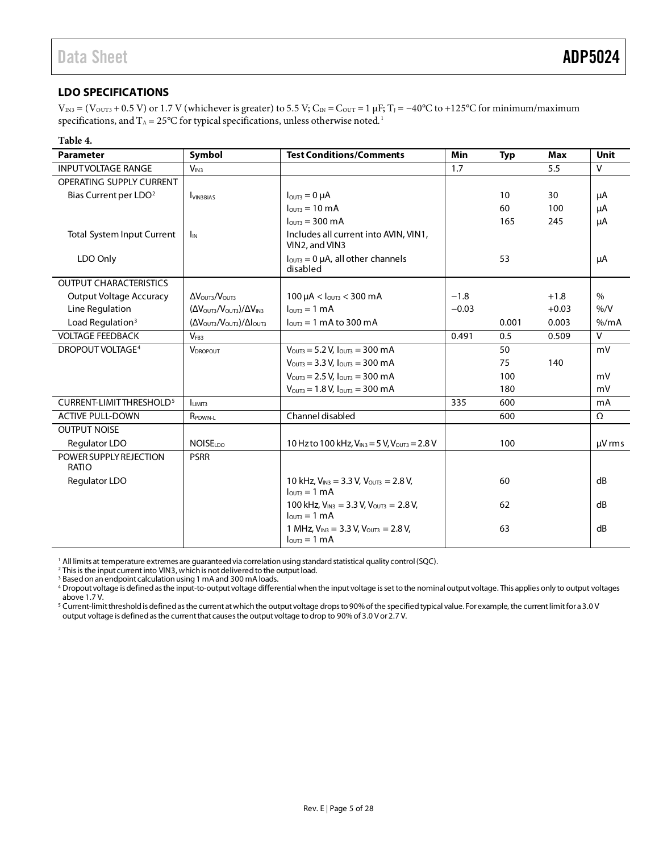### <span id="page-5-0"></span>**LDO SPECIFICATIONS**

 $V_{IN3} = (V_{OUT3} + 0.5 V)$  or 1.7 V (whichever is greater) to 5.5 V; C<sub>IN</sub> = C<sub>OUT</sub> = 1 µF; T<sub>J</sub> = -40°C to +125°C for minimum/maximum specifications, and  $T_A = 25^{\circ}C$  for typical specifications, unless otherwise noted.<sup>1</sup>

### **Table 4.**

| <b>Parameter</b>                    | Symbol                                                            | <b>Test Conditions/Comments</b>                                                     | Min     | <b>Typ</b> | Max     | <b>Unit</b>  |
|-------------------------------------|-------------------------------------------------------------------|-------------------------------------------------------------------------------------|---------|------------|---------|--------------|
| <b>INPUTVOLTAGE RANGE</b>           | V <sub>IN3</sub>                                                  |                                                                                     | 1.7     |            | 5.5     | $\mathsf{V}$ |
| OPERATING SUPPLY CURRENT            |                                                                   |                                                                                     |         |            |         |              |
| Bias Current per LDO <sup>2</sup>   | <b>UN3BIAS</b>                                                    | $IOUT3 = 0 \mu A$                                                                   |         | 10         | 30      | μA           |
|                                     |                                                                   | $l_{\text{OUT3}} = 10 \text{ mA}$                                                   |         | 60         | 100     | μA           |
|                                     |                                                                   | $l_{\text{OUT3}} = 300 \text{ mA}$                                                  |         | 165        | 245     | μA           |
| Total System Input Current          | I <sub>IN</sub>                                                   | Includes all current into AVIN, VIN1,<br>VIN2, and VIN3                             |         |            |         |              |
| LDO Only                            |                                                                   | $I_{\text{OUT3}} = 0$ µA, all other channels<br>disabled                            |         | 53         |         | μA           |
| <b>OUTPUT CHARACTERISTICS</b>       |                                                                   |                                                                                     |         |            |         |              |
| <b>Output Voltage Accuracy</b>      | $\Delta V_{\text{OUT3}}/V_{\text{OUT3}}$                          | $100 \mu A < I_{\text{OUT3}} < 300 \text{ mA}$                                      | $-1.8$  |            | $+1.8$  | $\%$         |
| Line Regulation                     | $(\Delta V_{\text{OUT3}}/V_{\text{OUT3}})/\Delta V_{\text{IN3}}$  | $l_{OUT3} = 1$ mA                                                                   | $-0.03$ |            | $+0.03$ | %N           |
| Load Regulation <sup>3</sup>        | $(\Delta V_{\text{OUT3}}/V_{\text{OUT3}})/\Delta I_{\text{OUT3}}$ | $IOUT3 = 1 mA to 300 mA$                                                            |         | 0.001      | 0.003   | % /mA        |
| <b>VOLTAGE FEEDBACK</b>             | V <sub>FB3</sub>                                                  |                                                                                     | 0.491   | 0.5        | 0.509   | $\mathsf{V}$ |
| <b>DROPOUT VOLTAGE<sup>4</sup></b>  | <b>VDROPOUT</b>                                                   | $V_{\text{OUT3}} = 5.2 V, I_{\text{OUT3}} = 300 \text{ mA}$                         |         | 50         |         | mV           |
|                                     |                                                                   | $V_{\text{OUT3}} = 3.3 V, I_{\text{OUT3}} = 300 \text{ mA}$                         |         | 75         | 140     |              |
|                                     |                                                                   | $V_{\text{OUT3}} = 2.5 V, I_{\text{OUT3}} = 300 \text{ mA}$                         |         | 100        |         | mV           |
|                                     |                                                                   | $V_{\text{OUT3}} = 1.8 V, I_{\text{OUT3}} = 300 \text{ mA}$                         |         | 180        |         | mV           |
| CURRENT-LIMITTHRESHOLD <sup>5</sup> | <b>LIMIT3</b>                                                     |                                                                                     | 335     | 600        |         | mA           |
| <b>ACTIVE PULL-DOWN</b>             | R <sub>PDWN-L</sub>                                               | Channel disabled                                                                    |         | 600        |         | Ω            |
| <b>OUTPUT NOISE</b>                 |                                                                   |                                                                                     |         |            |         |              |
| Regulator LDO                       | <b>NOISELDO</b>                                                   | 10 Hz to 100 kHz, $V_{IN3} = 5 V$ , $V_{OUT3} = 2.8 V$                              |         | 100        |         | µV rms       |
| POWER SUPPLY REJECTION<br>RATIO     | <b>PSRR</b>                                                       |                                                                                     |         |            |         |              |
| Regulator LDO                       |                                                                   | 10 kHz, $V_{IN3}$ = 3.3 V, $V_{OUT3}$ = 2.8 V,<br>$IOUT3 = 1 mA$                    |         | 60         |         | dB           |
|                                     |                                                                   | 100 kHz, $V_{IN3}$ = 3.3 V, $V_{OUT3}$ = 2.8 V,<br>$I_{\text{OUT3}} = 1 \text{ mA}$ |         | 62         |         | dB           |
|                                     |                                                                   | 1 MHz, $V_{IN3} = 3.3 V$ , $V_{OUT3} = 2.8 V$ ,<br>$IOUT3 = 1 mA$                   |         | 63         |         | dB           |

<sup>1</sup> All limits at temperature extremes are guaranteed via correlation using standard statistical quality control (SQC).

<sup>2</sup> This is the input current into VIN3, which is not delivered to the output load.

<sup>3</sup> Based on an endpoint calculation using 1 mA and 300 mA loads.

4 Dropout voltage is defined as the input-to-output voltage differential when the input voltage is set to the nominal output voltage. This applies only to output voltages above 1.7 V.

<sup>5</sup> Current-limit threshold is defined as the current at which the output voltage drops to 90% of the specified typical value. For example, the current limit for a 3.0 V output voltage is defined as the current that causes the output voltage to drop to 90% of 3.0 V or 2.7 V.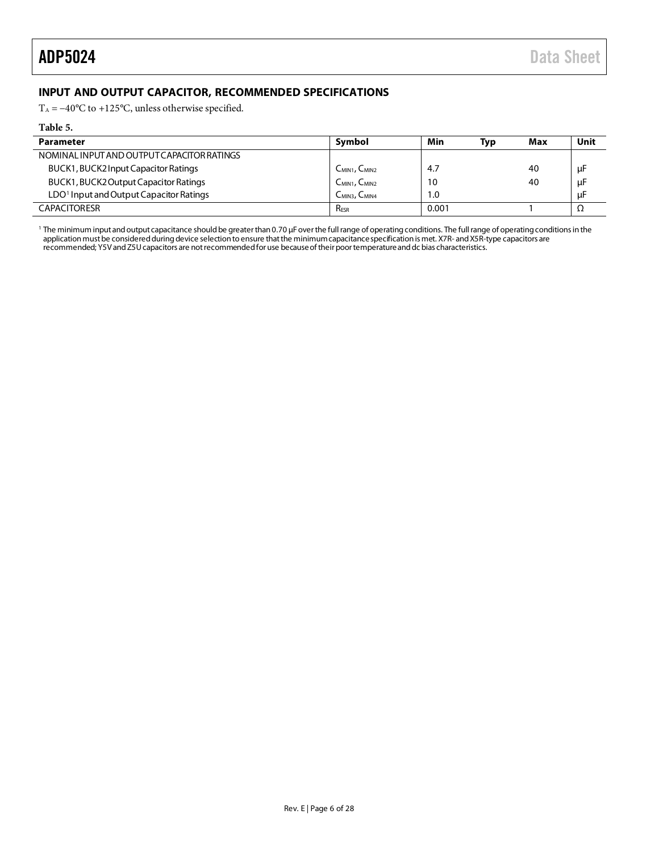### <span id="page-6-0"></span>**INPUT AND OUTPUT CAPACITOR, RECOMMENDED SPECIFICATIONS**

T<sub>A</sub> =  $-40^{\circ}$ C to +125 $^{\circ}$ C, unless otherwise specified.

### **Table 5.**

 $\bar{a}$ 

| Parameter                                           | Symbol                                | Min   | Typ | Max | Unit |
|-----------------------------------------------------|---------------------------------------|-------|-----|-----|------|
| NOMINAL INPUT AND OUTPUT CAPACITOR RATINGS          |                                       |       |     |     |      |
| BUCK1, BUCK2 Input Capacitor Ratings                | C <sub>MIN1</sub> , C <sub>MIN2</sub> | -4.7  |     | 40  | μF   |
| BUCK1, BUCK2 Output Capacitor Ratings               | $C_{MIN1}$ , $C_{MIN2}$               | 10    |     | 40  | μF   |
| LDO <sup>1</sup> Input and Output Capacitor Ratings | $C_{MIN3}$ , $C_{MIN4}$               | 1.0   |     |     | μF   |
| <b>CAPACITORESR</b>                                 | <b>RESR</b>                           | 0.001 |     |     |      |

<sup>1</sup> The minimum input and output capacitance should be greater than 0.70 µF over the full range of operating conditions. The full range of operating conditions in the application must be considered during device selection to ensure that the minimum capacitance specification is met. X7R- and X5R-type capacitors are recommended; Y5V and Z5U capacitors are not recommended for use because of theirpoor temperature and dc bias characteristics.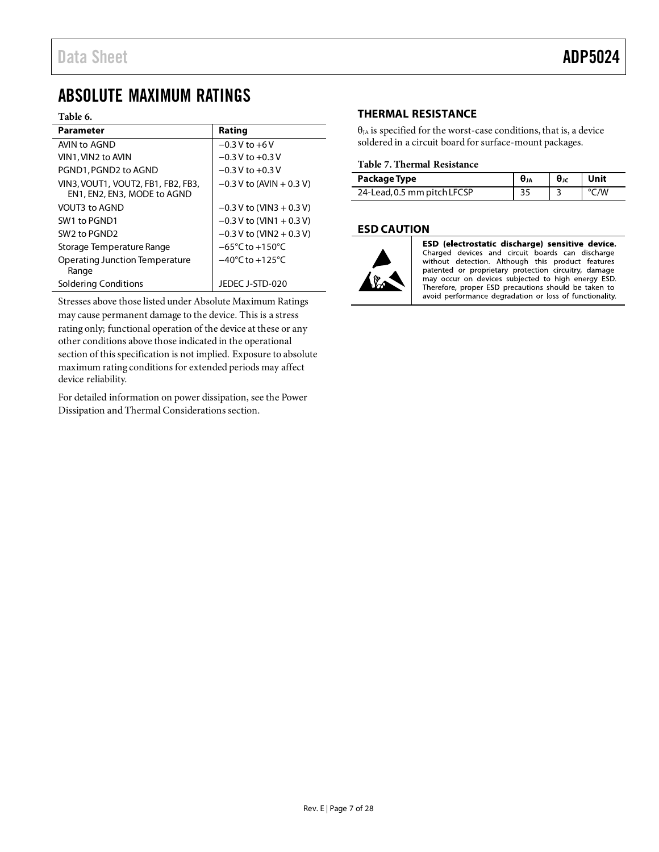## <span id="page-7-0"></span>ABSOLUTE MAXIMUM RATINGS

### **Table 6.**

| <b>Parameter</b>                                                  | Rating                              |
|-------------------------------------------------------------------|-------------------------------------|
| AVIN to AGND                                                      | $-0.3$ V to $+6$ V                  |
| VIN1, VIN2 to AVIN                                                | $-0.3$ V to $+0.3$ V                |
| PGND1, PGND2 to AGND                                              | $-0.3$ V to $+0.3$ V                |
| VIN3. VOUT1, VOUT2, FB1, FB2, FB3,<br>EN1, EN2, EN3, MODE to AGND | $-0.3$ V to (AVIN + 0.3 V)          |
| VOUT3 to AGND                                                     | $-0.3$ V to (VIN3 + 0.3 V)          |
| SW1 to PGND1                                                      | $-0.3$ V to (VIN1 + 0.3 V)          |
| SW <sub>2</sub> to PGND <sub>2</sub>                              | $-0.3$ V to (VIN2 + 0.3 V)          |
| Storage Temperature Range                                         | $-65^{\circ}$ C to $+150^{\circ}$ C |
| <b>Operating Junction Temperature</b><br>Range                    | $-40^{\circ}$ C to $+125^{\circ}$ C |
| Soldering Conditions                                              | JEDEC J-STD-020                     |

Stresses above those listed under Absolute Maximum Ratings may cause permanent damage to the device. This is a stress rating only; functional operation of the device at these or any other conditions above those indicated in the operational section of this specification is not implied. Exposure to absolute maximum rating conditions for extended periods may affect device reliability.

For detailed information on power dissipation, see th[e Power](#page-24-0)  [Dissipation and Thermal Considerations](#page-24-0) section.

### <span id="page-7-1"></span>**THERMAL RESISTANCE**

 $\theta_{JA}$  is specified for the worst-case conditions, that is, a device soldered in a circuit board for surface-mount packages.

### <span id="page-7-3"></span>**Table 7. Thermal Resistance**

| Package Type                | $\mathbf{\Theta}_{\text{JC}}$ | l Unit |
|-----------------------------|-------------------------------|--------|
| 24-Lead, 0.5 mm pitch LFCSP |                               | °C∧w   |

### <span id="page-7-2"></span>**ESD CAUTION**



ESD (electrostatic discharge) sensitive device. Charged devices and circuit boards can discharge without detection. Although this product features patented or proprietary protection circuitry, damage may occur on devices subjected to high energy ESD. Therefore, proper ESD precautions should be taken to avoid performance degradation or loss of functionality.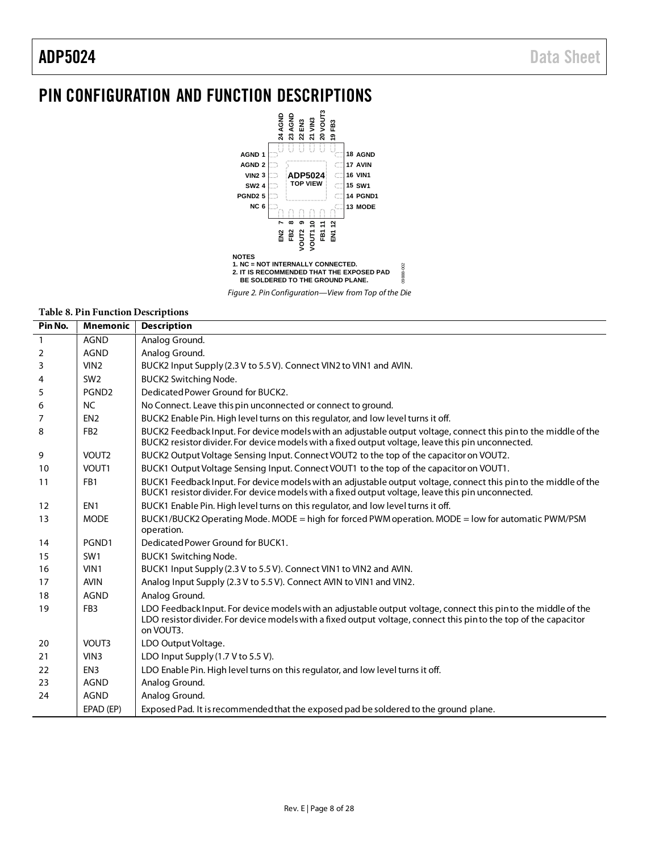## <span id="page-8-0"></span>PIN CONFIGURATION AND FUNCTION DESCRIPTIONS



*Figure 2. Pin Configuration—View from Top of the Die* 

### **Table 8. Pin Function Descriptions**

| Pin No.      | <b>Mnemonic</b>   | <b>Description</b>                                                                                                                                                                                                                              |
|--------------|-------------------|-------------------------------------------------------------------------------------------------------------------------------------------------------------------------------------------------------------------------------------------------|
| $\mathbf{1}$ | <b>AGND</b>       | Analog Ground.                                                                                                                                                                                                                                  |
| 2            | <b>AGND</b>       | Analog Ground.                                                                                                                                                                                                                                  |
| 3            | VIN2              | BUCK2 Input Supply (2.3 V to 5.5 V). Connect VIN2 to VIN1 and AVIN.                                                                                                                                                                             |
| 4            | SW2               | BUCK2 Switching Node.                                                                                                                                                                                                                           |
| 5            | PGND <sub>2</sub> | Dedicated Power Ground for BUCK2.                                                                                                                                                                                                               |
| 6            | <b>NC</b>         | No Connect. Leave this pin unconnected or connect to ground.                                                                                                                                                                                    |
| 7            | EN <sub>2</sub>   | BUCK2 Enable Pin. High level turns on this regulator, and low level turns it off.                                                                                                                                                               |
| 8            | FB <sub>2</sub>   | BUCK2 Feedback Input. For device models with an adjustable output voltage, connect this pinto the middle of the<br>BUCK2 resistor divider. For device models with a fixed output voltage, leave this pin unconnected.                           |
| 9            | VOUT <sub>2</sub> | BUCK2 Output Voltage Sensing Input. Connect VOUT2 to the top of the capacitor on VOUT2.                                                                                                                                                         |
| 10           | VOUT1             | BUCK1 Output Voltage Sensing Input. Connect VOUT1 to the top of the capacitor on VOUT1.                                                                                                                                                         |
| 11           | FB1               | BUCK1 Feedback Input. For device models with an adjustable output voltage, connect this pinto the middle of the<br>BUCK1 resistor divider. For device models with a fixed output voltage, leave this pin unconnected.                           |
| 12           | EN <sub>1</sub>   | BUCK1 Enable Pin. High level turns on this regulator, and low level turns it off.                                                                                                                                                               |
| 13           | <b>MODE</b>       | BUCK1/BUCK2 Operating Mode. MODE = high for forced PWM operation. MODE = low for automatic PWM/PSM                                                                                                                                              |
|              |                   | operation.                                                                                                                                                                                                                                      |
| 14           | PGND1             | Dedicated Power Ground for BUCK1.                                                                                                                                                                                                               |
| 15           | SW <sub>1</sub>   | <b>BUCK1 Switching Node.</b>                                                                                                                                                                                                                    |
| 16           | VIN1              | BUCK1 Input Supply (2.3 V to 5.5 V). Connect VIN1 to VIN2 and AVIN.                                                                                                                                                                             |
| 17           | <b>AVIN</b>       | Analog Input Supply (2.3 V to 5.5 V). Connect AVIN to VIN1 and VIN2.                                                                                                                                                                            |
| 18           | <b>AGND</b>       | Analog Ground.                                                                                                                                                                                                                                  |
| 19           | FB <sub>3</sub>   | LDO Feedback Input. For device models with an adjustable output voltage, connect this pinto the middle of the<br>LDO resistor divider. For device models with a fixed output voltage, connect this pin to the top of the capacitor<br>on VOUT3. |
| 20           | VOUT3             | LDO Output Voltage.                                                                                                                                                                                                                             |
| 21           | VIN3              | LDO Input Supply (1.7 V to 5.5 V).                                                                                                                                                                                                              |
| 22           | EN <sub>3</sub>   | LDO Enable Pin. High level turns on this regulator, and low level turns it off.                                                                                                                                                                 |
| 23           | <b>AGND</b>       | Analog Ground.                                                                                                                                                                                                                                  |
| 24           | <b>AGND</b>       | Analog Ground.                                                                                                                                                                                                                                  |
|              | EPAD (EP)         | Exposed Pad. It is recommended that the exposed pad be soldered to the ground plane.                                                                                                                                                            |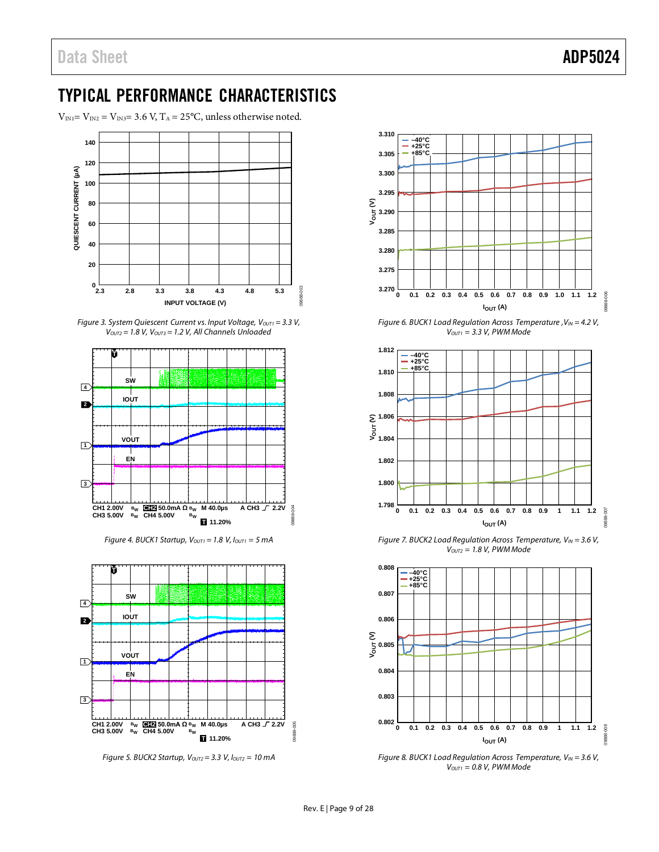## <span id="page-9-0"></span>TYPICAL PERFORMANCE CHARACTERISTICS

 $V_{\text{IN1}}=V_{\text{IN2}}=V_{\text{IN3}}=3.6$  V,  $T_{\text{A}}=25^{\circ}\text{C}$ , unless otherwise noted.



*Figure 3. System Quiescent Current vs. Input Voltage, V<sub>OUT1</sub> = 3.3 V,*  $V<sub>OUT2</sub> = 1.8 V, V<sub>OUT3</sub> = 1.2 V, All Channels Unloaded$ 



*Figure 4. BUCK1 Startup,*  $V_{OUT1} = 1.8$  *V,*  $I_{OUT1} = 5$  *mA* 



*Figure 5. BUCK2 Startup, Voutz* = 3.3 *V, Ioutz* = 10 mA



*Figure 6. BUCK1 Load Regulation Across Temperature* ,  $V_{IN} = 4.2 V$ , *VOUT1 = 3.3 V, PWMMode*



*Figure 7. BUCK2 Load Regulation Across Temperature,*  $V_{IN} = 3.6 V$ *, VOUT2 = 1.8 V, PWMMode*



*Figure 8. BUCK1 Load Regulation Across Temperature, VIN = 3.6 V, VOUT1 = 0.8 V, PWM Mode*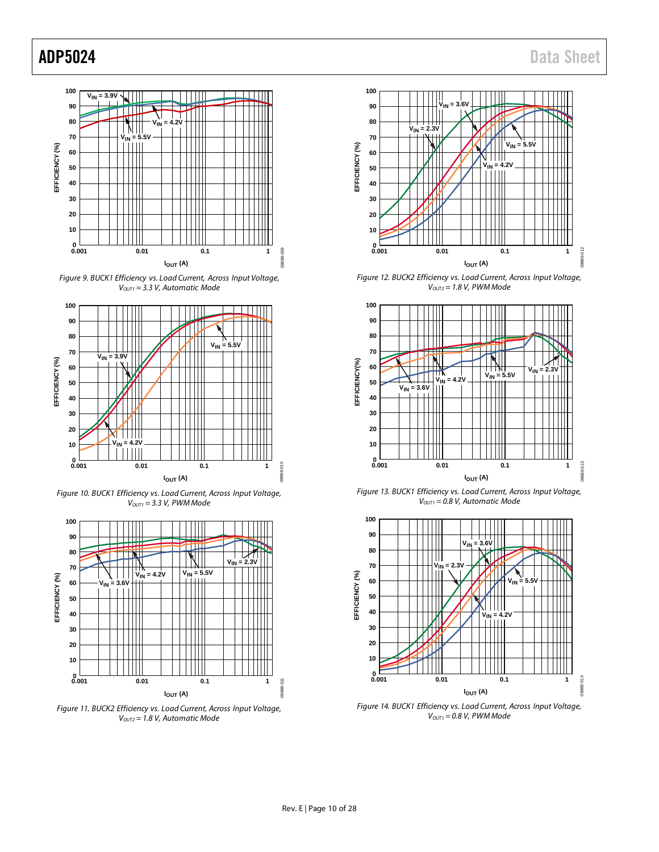





*Figure 10. BUCK1 Efficiency vs. Load Current, Across Input Voltage, VOUT1 = 3.3 V, PWM Mode*



*Figure 11. BUCK2 Efficiency vs. Load Current, Across Input Voltage, VOUT2 = 1.8 V, Automatic Mode*

![](_page_10_Figure_8.jpeg)

*Figure 12. BUCK2 Efficiency vs. Load Current, Across Input Voltage, VOUT2 = 1.8 V, PWM Mode*

![](_page_10_Figure_10.jpeg)

*Figure 13. BUCK1 Efficiency vs. Load Current, Across Input Voltage, VOUT1 = 0.8 V, Automatic Mode*

![](_page_10_Figure_12.jpeg)

*Figure 14. BUCK1 Efficiency vs. Load Current, Across Input Voltage, VOUT1 = 0.8 V, PWM Mode*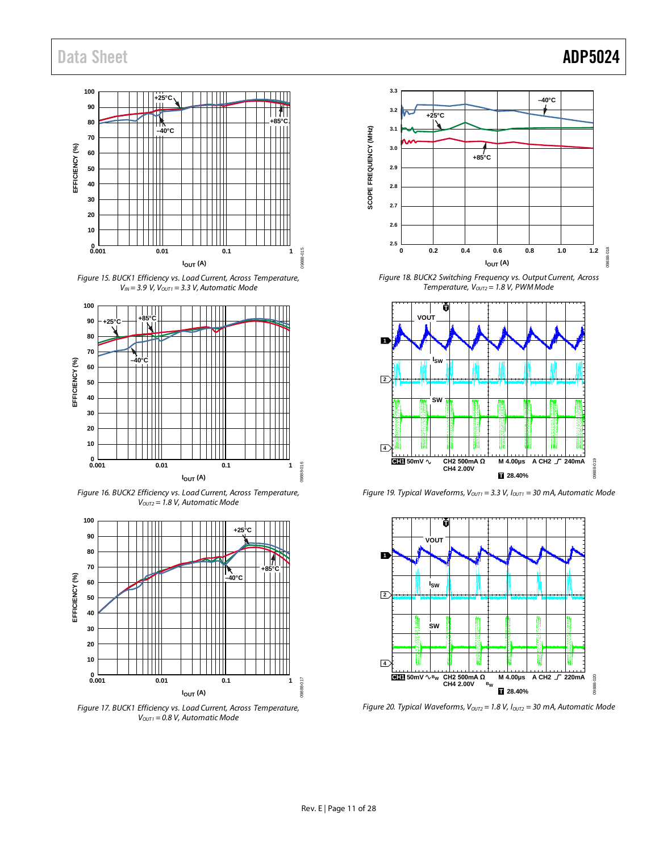## Data Sheet **ADP5024**

### **100 +25°C 90 80 +85°C –40°C 70** 3 **EFFICIENCY (%) 60** EFFICIENCY **50 40 30 20 10**  $0.001$ **0.001 0.01 0.1 1** 09888-015 GRRD **I**<sub>OUT</sub> (A)

*Figure 15. BUCK1 Efficiency vs. Load Current, Across Temperature, VIN = 3.9 V, VOUT1 = 3.3 V, Automatic Mode*

![](_page_11_Figure_3.jpeg)

*Figure 16. BUCK2 Efficiency vs. Load Current, Across Temperature, VOUT2 = 1.8 V, Automatic Mode*

![](_page_11_Figure_5.jpeg)

*Figure 17. BUCK1 Efficiency vs. Load Current, Across Temperature, VOUT1 = 0.8 V, Automatic Mode*

![](_page_11_Figure_7.jpeg)

*Figure 18. BUCK2 Switching Frequency vs. Output Current, Across Temperature, V<sub>OUT2</sub>* = 1.8 V, PWM Mode

![](_page_11_Figure_9.jpeg)

*Figure 19. Typical Waveforms, Vout1* = 3.3 V, Iout1 = 30 mA, Automatic Mode

![](_page_11_Figure_11.jpeg)

*Figure 20. Typical Waveforms, V<sub>OUT2</sub> = 1.8 V, I<sub>OUT2</sub> = 30 mA, Automatic Mode*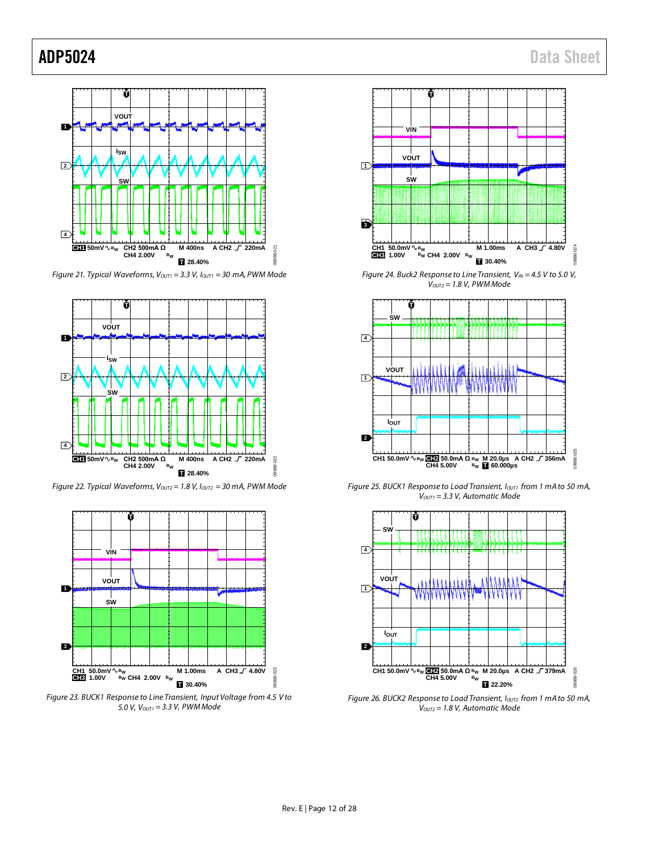![](_page_12_Figure_2.jpeg)

*Figure 21. Typical Waveforms, V<sub>OUT1</sub>* = 3.3 V,  $I_{\text{OUT1}}$  = 30 mA, PWM Mode

![](_page_12_Figure_4.jpeg)

*Figure 22. Typical Waveforms, Voutz* = 1.8 V, Ioutz = 30 mA, PWM Mode

![](_page_12_Figure_6.jpeg)

*Figure 23. BUCK1 Response to Line Transient, Input Voltage from 4.5 V to 5.0 V, VOUT1 = 3.3 V, PWM Mode*

![](_page_12_Figure_8.jpeg)

*Figure 24. Buck2 Response to Line Transient, V<sub>IN</sub> = 4.5 V to 5.0 V, VOUT2 = 1.8 V, PWM Mode*

![](_page_12_Figure_10.jpeg)

*Figure 25. BUCK1 Response to Load Transient, Iouti from 1 mA to 50 mA, VOUT1 = 3.3 V, Automatic Mode*

![](_page_12_Figure_12.jpeg)

*Figure 26. BUCK2 Response to Load Transient, Ioutz from 1 mA to 50 mA, VOUT2 = 1.8 V, Automatic Mode*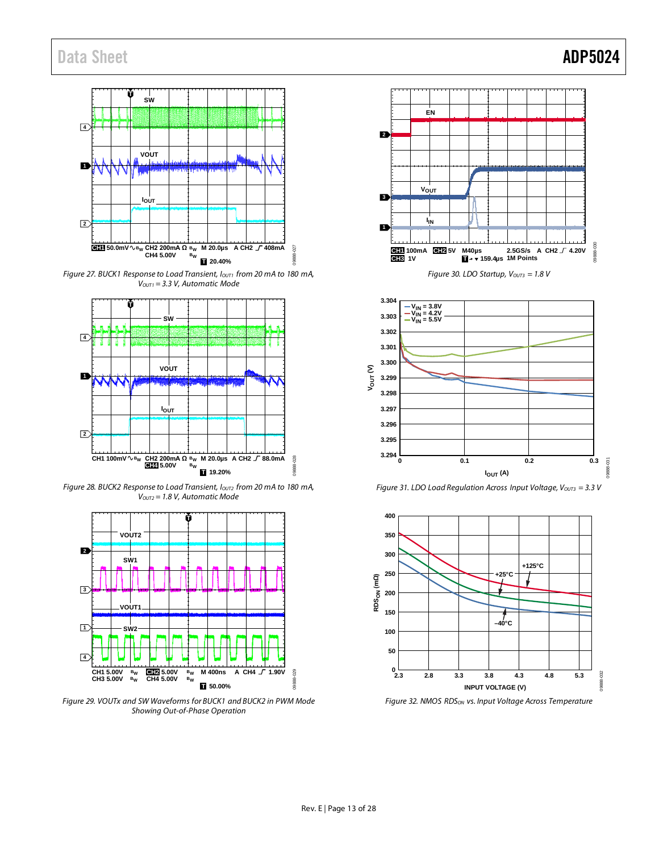## Data Sheet **ADP5024**

![](_page_13_Figure_1.jpeg)

*Figure 27. BUCK1 Response to Load Transient, I<sub>OUT1</sub> from 20 mA to 180 mA, VOUT1 = 3.3 V, Automatic Mode*

![](_page_13_Figure_3.jpeg)

*Figure 28. BUCK2 Response to Load Transient, I<sub>OUT2</sub> from 20 mA to 180 mA, VOUT2 = 1.8 V, Automatic Mode*

![](_page_13_Figure_5.jpeg)

*Figure 29. VOUTx and SW Waveforms for BUCK1 and BUCK2 in PWM Mode Showing Out-of-Phase Operation*

![](_page_13_Figure_7.jpeg)

![](_page_13_Figure_8.jpeg)

*Figure 31. LDO Load Regulation Across Input Voltage, V<sub>OUT3</sub> = 3.3 V* 

![](_page_13_Figure_10.jpeg)

*Figure 32. NMOS RDSON vs. Input Voltage Across Temperature*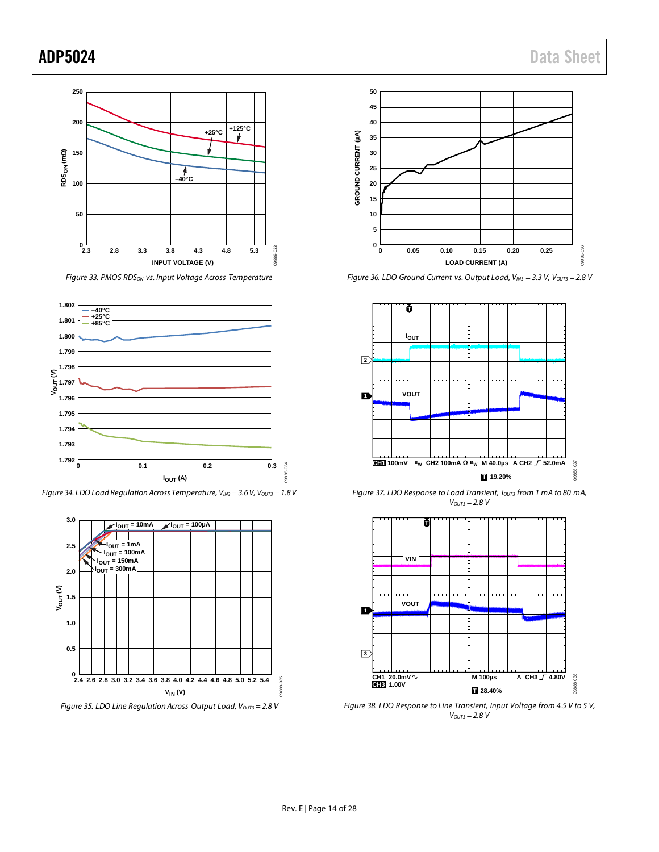![](_page_14_Figure_2.jpeg)

*Figure 33. PMOS RDS<sub>ON</sub> vs. Input Voltage Across Temperature* 

![](_page_14_Figure_4.jpeg)

*Figure 34. LDO Load Regulation Across Temperature, VIN3 = 3.6V, VOUT3 = 1.8V*

![](_page_14_Figure_6.jpeg)

![](_page_14_Figure_7.jpeg)

*Figure 36. LDO Ground Current vs. Output Load, V<sub>IN3</sub>* = 3.3 V, V<sub>OUT3</sub> = 2.8 V

![](_page_14_Figure_9.jpeg)

*Figure 37. LDO Response to Load Transient, Iouts from 1 mA to 80 mA, VOUT3 = 2.8 V*

![](_page_14_Figure_11.jpeg)

*Figure 38. LDO Response to Line Transient, Input Voltage from 4.5 V to 5 V, VOUT3 = 2.8 V*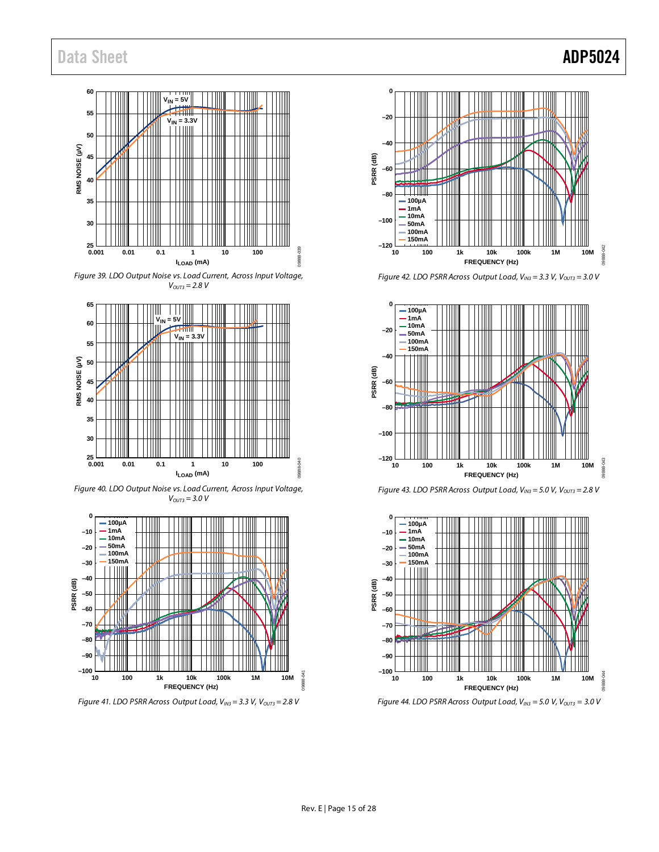![](_page_15_Figure_1.jpeg)

*Figure 39. LDO Output Noise vs. Load Current, Across Input Voltage,*   $V_{OUT3} = 2.8 V$ 

![](_page_15_Figure_3.jpeg)

*Figure 40. LDO Output Noise vs. Load Current, Across Input Voltage,*   $V_{OUT3} = 3.0 V$ 

![](_page_15_Figure_5.jpeg)

*Figure 41. LDO PSRR Across Output Load, V<sub>IN3</sub>* = 3.3 V, V<sub>OUT3</sub> = 2.8 V

![](_page_15_Figure_7.jpeg)

*Figure 42. LDO PSRR Across Output Load, VIN3 = 3.3 V, VOUT3 = 3.0 V*

![](_page_15_Figure_9.jpeg)

![](_page_15_Figure_10.jpeg)

![](_page_15_Figure_11.jpeg)

*Figure 44. LDO PSRR Across Output Load, V<sub>IN3</sub> = 5.0 V, V<sub>OUT3</sub> = 3.0 V*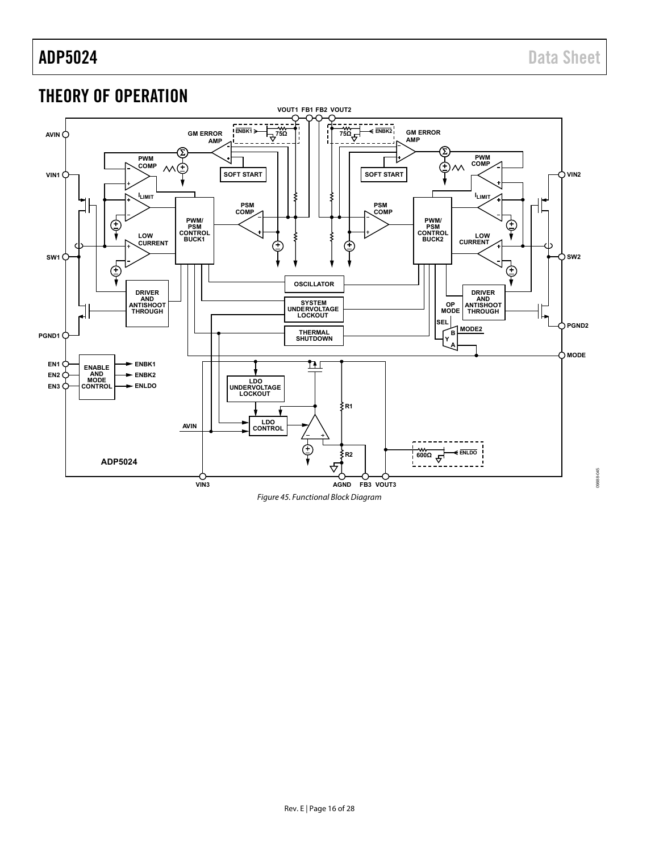09888-045

## <span id="page-16-0"></span>THEORY OF OPERATION

![](_page_16_Figure_3.jpeg)

Figure 45. Functional Block Diagram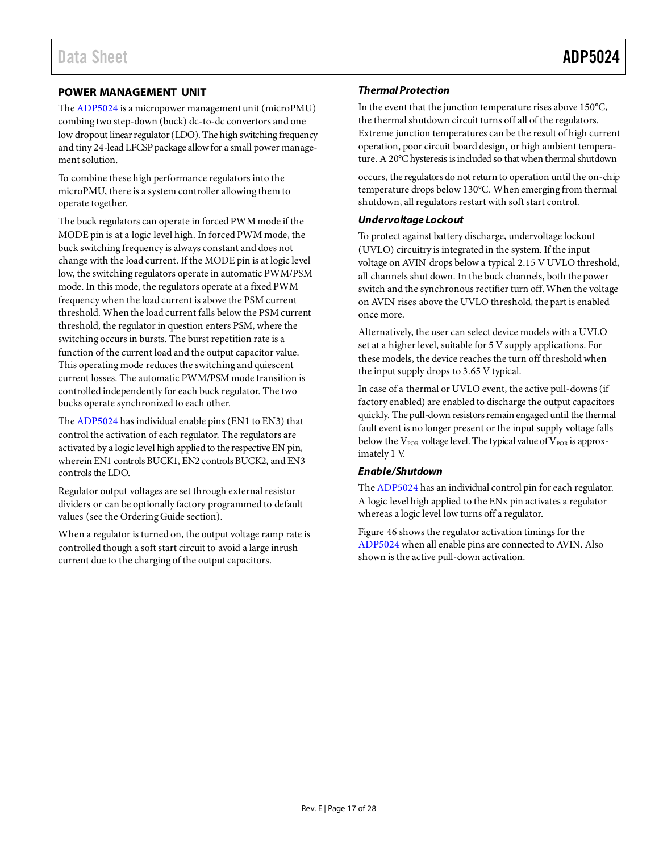### <span id="page-17-0"></span>**POWER MANAGEMENT UNIT**

Th[e ADP5024](http://www.analog.com/ADP5024?src=ADP5024.pdf) is a micropower management unit (microPMU) combing two step-down (buck) dc-to-dc convertors and one low dropout linear regulator (LDO). The high switching frequency and tiny 24-lead LFCSP package allow for a small power management solution.

To combine these high performance regulators into the microPMU, there is a system controller allowing them to operate together.

The buck regulators can operate in forced PWM mode if the MODE pin is at a logic level high. In forced PWM mode, the buck switching frequency is always constant and does not change with the load current. If the MODE pin is at logic level low, the switching regulators operate in automatic PWM/PSM mode. In this mode, the regulators operate at a fixed PWM frequency when the load current is above the PSM current threshold. When the load current falls below the PSM current threshold, the regulator in question enters PSM, where the switching occurs in bursts. The burst repetition rate is a function of the current load and the output capacitor value. This operating mode reduces the switching and quiescent current losses. The automatic PWM/PSM mode transition is controlled independently for each buck regulator. The two bucks operate synchronized to each other.

Th[e ADP5024](http://www.analog.com/ADP5024?src=ADP5024.pdf) has individual enable pins (EN1 to EN3) that control the activation of each regulator. The regulators are activated by a logic level high applied to the respective EN pin, wherein EN1 controls BUCK1, EN2 controls BUCK2, and EN3 controls the LDO.

Regulator output voltages are set through external resistor dividers or can be optionally factory programmed to default values (see th[e Ordering Guide](#page-28-1) section).

When a regulator is turned on, the output voltage ramp rate is controlled though a soft start circuit to avoid a large inrush current due to the charging of the output capacitors.

### *Thermal Protection*

In the event that the junction temperature rises above 150°C, the thermal shutdown circuit turns off all of the regulators. Extreme junction temperatures can be the result of high current operation, poor circuit board design, or high ambient temperature. A 20°C hysteresis is included so that when thermal shutdown

occurs, the regulators do not return to operation until the on-chip temperature drops below 130°C. When emerging from thermal shutdown, all regulators restart with soft start control.

### *Undervoltage Lockout*

To protect against battery discharge, undervoltage lockout (UVLO) circuitry is integrated in the system. If the input voltage on AVIN drops below a typical 2.15 V UVLO threshold, all channels shut down. In the buck channels, both the power switch and the synchronous rectifier turn off. When the voltage on AVIN rises above the UVLO threshold, the part is enabled once more.

Alternatively, the user can select device models with a UVLO set at a higher level, suitable for 5 V supply applications. For these models, the device reaches the turn off threshold when the input supply drops to 3.65 V typical.

In case of a thermal or UVLO event, the active pull-downs (if factory enabled) are enabled to discharge the output capacitors quickly. The pull-down resistors remain engaged until the thermal fault event is no longer present or the input supply voltage falls below the  $V_{POR}$  voltage level. The typical value of  $V_{POR}$  is approximately 1 V.

### *Enable/Shutdown*

Th[e ADP5024](http://www.analog.com/ADP5024?src=ADP5024.pdf) has an individual control pin for each regulator. A logic level high applied to the ENx pin activates a regulator whereas a logic level low turns off a regulator.

[Figure 46](#page-18-0) shows the regulator activation timings for the [ADP5024](http://www.analog.com/ADP5024?src=ADP5024.pdf) when all enable pins are connected to AVIN. Also shown is the active pull-down activation.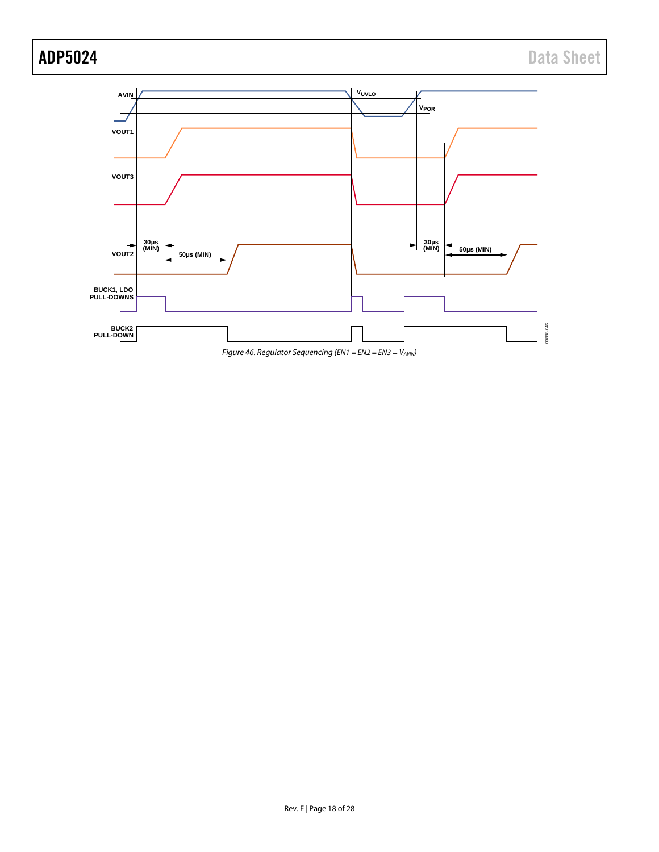![](_page_18_Figure_2.jpeg)

<span id="page-18-0"></span>![](_page_18_Figure_3.jpeg)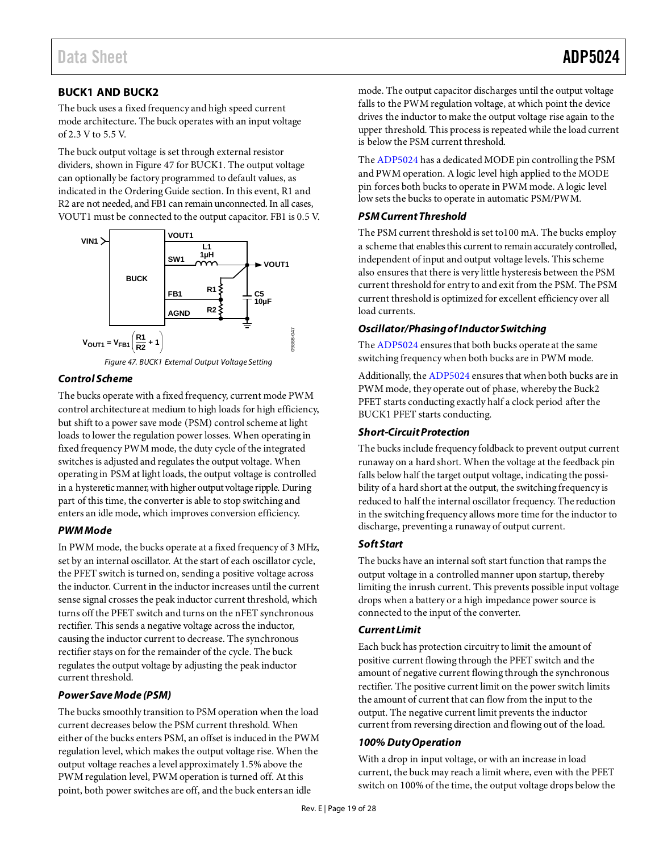### <span id="page-19-0"></span>**BUCK1 AND BUCK2**

The buck uses a fixed frequency and high speed current mode architecture. The buck operates with an input voltage of 2.3 V to 5.5 V.

The buck output voltage is set through external resistor dividers, shown in [Figure 47](#page-19-1) for BUCK1. The output voltage can optionally be factory programmed to default values, as indicated in th[e Ordering Guide](#page-28-1) section. In this event, R1 and R2 are not needed, and FB1 can remain unconnected. In all cases, VOUT1 must be connected to the output capacitor. FB1 is 0.5 V.

![](_page_19_Figure_5.jpeg)

![](_page_19_Figure_6.jpeg)

### <span id="page-19-1"></span>*Control Scheme*

The bucks operate with a fixed frequency, current mode PWM control architecture at medium to high loads for high efficiency, but shift to a power save mode (PSM) control scheme at light loads to lower the regulation power losses. When operating in fixed frequency PWM mode, the duty cycle of the integrated switches is adjusted and regulates the output voltage. When operating in PSM at light loads, the output voltage is controlled in a hysteretic manner, with higher output voltage ripple. During part of this time, the converter is able to stop switching and enters an idle mode, which improves conversion efficiency.

### *PWM Mode*

In PWM mode, the bucks operate at a fixed frequency of 3 MHz, set by an internal oscillator. At the start of each oscillator cycle, the PFET switch is turned on, sending a positive voltage across the inductor. Current in the inductor increases until the current sense signal crosses the peak inductor current threshold, which turns off the PFET switch and turns on the nFET synchronous rectifier. This sends a negative voltage across the inductor, causing the inductor current to decrease. The synchronous rectifier stays on for the remainder of the cycle. The buck regulates the output voltage by adjusting the peak inductor current threshold.

### *Power Save Mode (PSM)*

The bucks smoothly transition to PSM operation when the load current decreases below the PSM current threshold. When either of the bucks enters PSM, an offset is induced in the PWM regulation level, which makes the output voltage rise. When the output voltage reaches a level approximately 1.5% above the PWM regulation level, PWM operation is turned off. At this point, both power switches are off, and the buck enters an idle

mode. The output capacitor discharges until the output voltage falls to the PWM regulation voltage, at which point the device drives the inductor to make the output voltage rise again to the upper threshold. This process is repeated while the load current is below the PSM current threshold.

Th[e ADP5024](http://www.analog.com/ADP5024?src=ADP5024.pdf) has a dedicated MODE pin controlling the PSM and PWM operation. A logic level high applied to the MODE pin forces both bucks to operate in PWM mode. A logic level low sets the bucks to operate in automatic PSM/PWM.

### *PSM Current Threshold*

The PSM current threshold is set to100 mA. The bucks employ a scheme that enables this current to remain accurately controlled, independent of input and output voltage levels. This scheme also ensures that there is very little hysteresis between the PSM current threshold for entry to and exit from the PSM. The PSM current threshold is optimized for excellent efficiency over all load currents.

### *Oscillator/Phasing of Inductor Switching*

Th[e ADP5024](http://www.analog.com/ADP5024?src=ADP5024.pdf) ensures that both bucks operate at the same switching frequency when both bucks are in PWM mode.

Additionally, th[e ADP5024](http://www.analog.com/ADP5024?src=ADP5024.pdf) ensures that when both bucks are in PWM mode, they operate out of phase, whereby the Buck2 PFET starts conducting exactly half a clock period after the BUCK1 PFET starts conducting.

### *Short-Circuit Protection*

The bucks include frequency foldback to prevent output current runaway on a hard short. When the voltage at the feedback pin falls below half the target output voltage, indicating the possibility of a hard short at the output, the switching frequency is reduced to half the internal oscillator frequency. The reduction in the switching frequency allows more time for the inductor to discharge, preventing a runaway of output current.

### *Soft Start*

The bucks have an internal soft start function that ramps the output voltage in a controlled manner upon startup, thereby limiting the inrush current. This prevents possible input voltage drops when a battery or a high impedance power source is connected to the input of the converter.

### *Current Limit*

Each buck has protection circuitry to limit the amount of positive current flowing through the PFET switch and the amount of negative current flowing through the synchronous rectifier. The positive current limit on the power switch limits the amount of current that can flow from the input to the output. The negative current limit prevents the inductor current from reversing direction and flowing out of the load.

### *100% Duty Operation*

With a drop in input voltage, or with an increase in load current, the buck may reach a limit where, even with the PFET switch on 100% of the time, the output voltage drops below the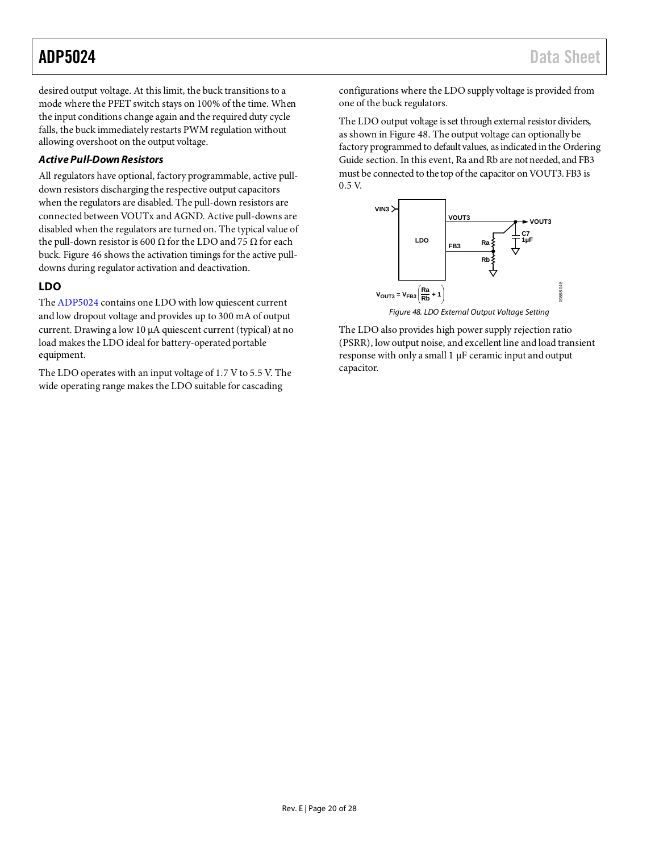desired output voltage. At this limit, the buck transitions to a mode where the PFET switch stays on 100% of the time. When the input conditions change again and the required duty cycle falls, the buck immediately restarts PWM regulation without allowing overshoot on the output voltage.

### *Active Pull-DownResistors*

All regulators have optional, factory programmable, active pulldown resistors discharging the respective output capacitors when the regulators are disabled. The pull-down resistors are connected between VOUTx and AGND. Active pull-downs are disabled when the regulators are turned on. The typical value of the pull-down resistor is 600 Ω for the LDO and 75  $Ω$  for each buck. [Figure 46](#page-18-0) shows the activation timings for the active pulldowns during regulator activation and deactivation.

### <span id="page-20-0"></span>**LDO**

Th[e ADP5024](http://www.analog.com/ADP5024?src=ADP5024.pdf) contains one LDO with low quiescent current and low dropout voltage and provides up to 300 mA of output current. Drawing a low 10 μA quiescent current (typical) at no load makes the LDO ideal for battery-operated portable equipment.

The LDO operates with an input voltage of 1.7 V to 5.5 V. The wide operating range makes the LDO suitable for cascading

configurations where the LDO supply voltage is provided from one of the buck regulators.

The LDO output voltage is set through external resistor dividers, as shown i[n Figure 48.](#page-20-1) The output voltage can optionally be factory programmed to default values, as indicated in th[e Ordering](#page-28-1)  [Guide](#page-28-1) section. In this event, Ra and Rb are not needed, and FB3 must be connected to the top of the capacitor on VOUT3. FB3 is 0.5 V.

![](_page_20_Figure_10.jpeg)

<span id="page-20-1"></span>The LDO also provides high power supply rejection ratio (PSRR), low output noise, and excellent line and load transient response with only a small 1 µF ceramic input and output capacitor.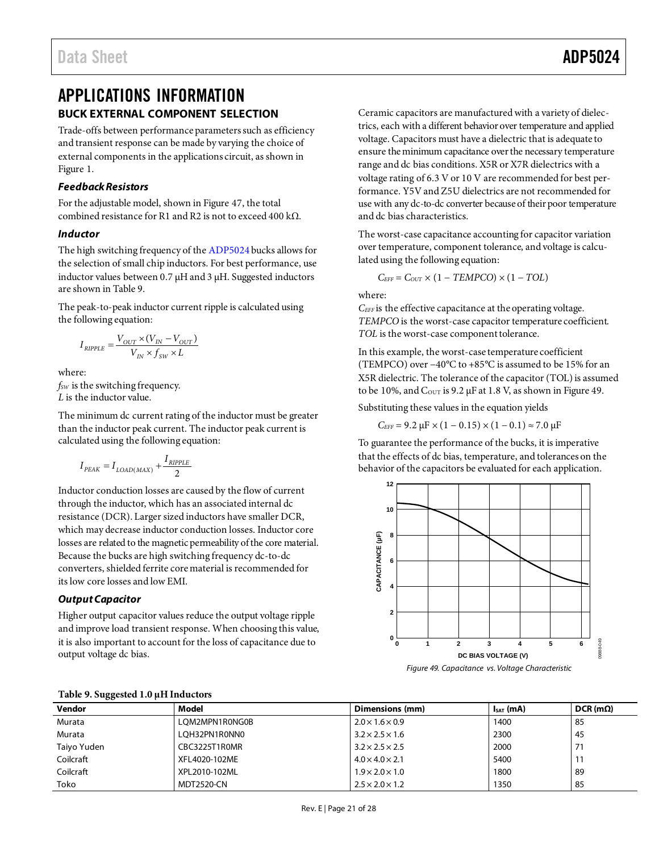## <span id="page-21-0"></span>APPLICATIONS INFORMATION **BUCK EXTERNAL COMPONENT SELECTION**

<span id="page-21-1"></span>Trade-offs between performance parameters such as efficiency and transient response can be made by varying the choice of external components in the applications circuit, as shown in [Figure 1.](#page-0-4)

### *Feedback Resistors*

For the adjustable model, shown in [Figure 47,](#page-19-1) the total combined resistance for R1 and R2 is not to exceed 400 kΩ.

### *Inductor*

The high switching frequency of th[e ADP5024](http://www.analog.com/ADP5024?src=ADP5024.pdf) bucks allows for the selection of small chip inductors. For best performance, use inductor values between 0.7 μH and 3 μH. Suggested inductors are shown in [Table 9.](#page-21-2)

The peak-to-peak inductor current ripple is calculated using the following equation:

$$
I_{RIPPLE} = \frac{V_{OUT} \times (V_{IN} - V_{OUT})}{V_{IN} \times f_{SW} \times L}
$$

where:

*f<sub>SW</sub>* is the switching frequency. *L* is the inductor value.

The minimum dc current rating of the inductor must be greater than the inductor peak current. The inductor peak current is calculated using the following equation:

$$
I_{\textit{PEAK}} = I_{\textit{LOAD(MAX)}} + \frac{I_{\textit{RIPPLE}}}{2}
$$

Inductor conduction losses are caused by the flow of current through the inductor, which has an associated internal dc resistance (DCR). Larger sized inductors have smaller DCR, which may decrease inductor conduction losses. Inductor core losses are related to the magnetic permeability of the core material. Because the bucks are high switching frequency dc-to-dc converters, shielded ferrite core material is recommended for its low core losses and low EMI.

### *Output Capacitor*

Higher output capacitor values reduce the output voltage ripple and improve load transient response. When choosing this value, it is also important to account for the loss of capacitance due to output voltage dc bias.

Ceramic capacitors are manufactured with a variety of dielectrics, each with a different behavior over temperature and applied voltage. Capacitors must have a dielectric that is adequate to ensure the minimum capacitance over the necessary temperature range and dc bias conditions. X5R or X7R dielectrics with a voltage rating of 6.3 V or 10 V are recommended for best performance. Y5V and Z5U dielectrics are not recommended for use with any dc-to-dc converter because of their poor temperature and dc bias characteristics.

The worst-case capacitance accounting for capacitor variation over temperature, component tolerance, and voltage is calculated using the following equation:

$$
C_{EFF} = C_{OUT} \times (1 - TEMPCO) \times (1 - TOL)
$$

where:

*CEFF* is the effective capacitance at the operating voltage. *TEMPCO* is the worst-case capacitor temperature coefficient. *TOL* is the worst-case component tolerance.

In this example, the worst-case temperature coefficient (TEMPCO) over −40°C to +85°C is assumed to be 15% for an X5R dielectric. The tolerance of the capacitor (TOL) is assumed to be 10%, and  $C_{\text{OUT}}$  is 9.2 μF at 1.8 V, as shown i[n Figure 49.](#page-21-3)

Substituting these values in the equation yields

 $C_{EFF}$  = 9.2  $\mu$ F × (1 – 0.15) × (1 – 0.1) ≈ 7.0  $\mu$ F

To guarantee the performance of the bucks, it is imperative that the effects of dc bias, temperature, and tolerances on the behavior of the capacitors be evaluated for each application.

<span id="page-21-3"></span>![](_page_21_Figure_26.jpeg)

| Table 5. Suggested 1.0 and inductors |                |                             |                |                     |  |  |
|--------------------------------------|----------------|-----------------------------|----------------|---------------------|--|--|
| Vendor                               | Model          | Dimensions (mm)             | $I_{SAT}$ (mA) | $DCR$ (m $\Omega$ ) |  |  |
| Murata                               | LOM2MPN1R0NG0B | $2.0 \times 1.6 \times 0.9$ | 1400           | 85                  |  |  |
| Murata                               | LOH32PN1R0NN0  | $3.2 \times 2.5 \times 1.6$ | 2300           | 45                  |  |  |
| Taiyo Yuden                          | CBC3225T1R0MR  | $3.2 \times 2.5 \times 2.5$ | 2000           |                     |  |  |
| Coilcraft                            | XFL4020-102ME  | $4.0 \times 4.0 \times 2.1$ | 5400           |                     |  |  |
| Coilcraft                            | XPL2010-102ML  | $1.9 \times 2.0 \times 1.0$ | 1800           | -89                 |  |  |
| Toko                                 | MDT2520-CN     | $2.5 \times 2.0 \times 1.2$ | 1350           | 85                  |  |  |

### <span id="page-21-2"></span>**Table 9. Suggested 1.0 μH Inductors**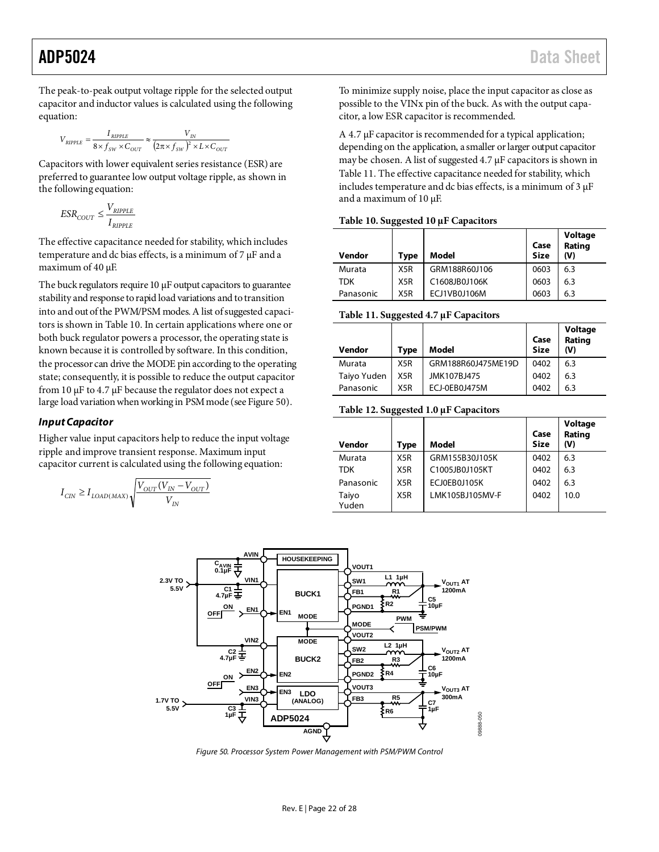The peak-to-peak output voltage ripple for the selected output capacitor and inductor values is calculated using the following equation:

$$
V_{RIPPLE} = \frac{I_{RIPPLE}}{8 \times f_{SW} \times C_{OUT}} \approx \frac{V_{IN}}{(2 \pi \times f_{SW})^2 \times L \times C_{OUT}}
$$

Capacitors with lower equivalent series resistance (ESR) are preferred to guarantee low output voltage ripple, as shown in the following equation:

$$
ESR_{COUT} \le \frac{V_{RIPPLE}}{I_{RIPPLE}}
$$

The effective capacitance needed for stability, which includes temperature and dc bias effects, is a minimum of  $7 \mu$ F and a maximum of 40 µF.

The buck regulators require 10  $\mu$ F output capacitors to guarantee stability and response to rapid load variations and totransition into and out of the PWM/PSM modes. A list of suggested capacitors is shown in [Table 10.](#page-22-0) In certain applications where one or both buck regulator powers a processor, the operating state is known because it is controlled by software. In this condition, the processor can drive the MODE pin according to the operating state; consequently, it is possible to reduce the output capacitor from 10 µF to 4.7 µF because the regulator does not expect a large load variation when working in PSM mode (se[e Figure 50\)](#page-22-1).

### *Input Capacitor*

Higher value input capacitors help to reduce the input voltage ripple and improve transient response. Maximum input capacitor current is calculated using the following equation:

$$
I_{CIN} \geq I_{LOAD(MAX)}\sqrt{\frac{V_{OUT}(V_{IN}-V_{OUT})}{V_{IN}}}
$$

To minimize supply noise, place the input capacitor as close as possible to the VINx pin of the buck. As with the output capacitor, a low ESR capacitor is recommended.

A 4.7 µF capacitor is recommended for a typical application; depending on the application, a smaller or larger output capacitor may be chosen. A list of suggested 4.7 µF capacitors is shown in [Table 11.](#page-22-2) The effective capacitance needed for stability, which includes temperature and dc bias effects, is a minimum of 3 µF and a maximum of 10 µF.

### <span id="page-22-0"></span>**Table 10. Suggested 10 μF Capacitors**

| Vendor     | Type             | Model         | Case<br><b>Size</b> | Voltage<br>Rating<br>(V) |
|------------|------------------|---------------|---------------------|--------------------------|
| Murata     | X5R              | GRM188R60J106 | 0603                | 6.3                      |
| <b>TDK</b> | X5R              | C1608JB0J106K | 0603                | 6.3                      |
| Panasonic  | X <sub>5</sub> R | ECJ1VB0J106M  | 0603                | 6.3                      |

### <span id="page-22-2"></span>**Table 11. Suggested 4.7 μF Capacitors**

| Vendor      | Type             | Model              | Case<br><b>Size</b> | Voltage<br>Rating<br>(V) |
|-------------|------------------|--------------------|---------------------|--------------------------|
| Murata      | X <sub>5</sub> R | GRM188R60J475ME19D | 0402                | 6.3                      |
| Taiyo Yuden | X5R              | JMK107BJ475        | 0402                | 6.3                      |
| Panasonic   | X5R              | ECJ-0EB0J475M      | 0402                | 6.3                      |

### **Table 12. Suggested 1.0 μF Capacitors**

| Vendor         | Type             | Model           | Case<br><b>Size</b> | Voltage<br>Rating<br>(V) |
|----------------|------------------|-----------------|---------------------|--------------------------|
| Murata         | X <sub>5</sub> R | GRM155B30J105K  | 0402                | 6.3                      |
| <b>TDK</b>     | X <sub>5</sub> R | C1005JB0J105KT  | 0402                | 6.3                      |
| Panasonic      | X <sub>5</sub> R | ECJ0EB0J105K    | 0402                | 6.3                      |
| Taiyo<br>Yuden | X <sub>5</sub> R | LMK105BJ105MV-F | 0402                | 10.0                     |

![](_page_22_Figure_19.jpeg)

<span id="page-22-1"></span>*Figure 50. Processor System Power Management with PSM/PWM Control*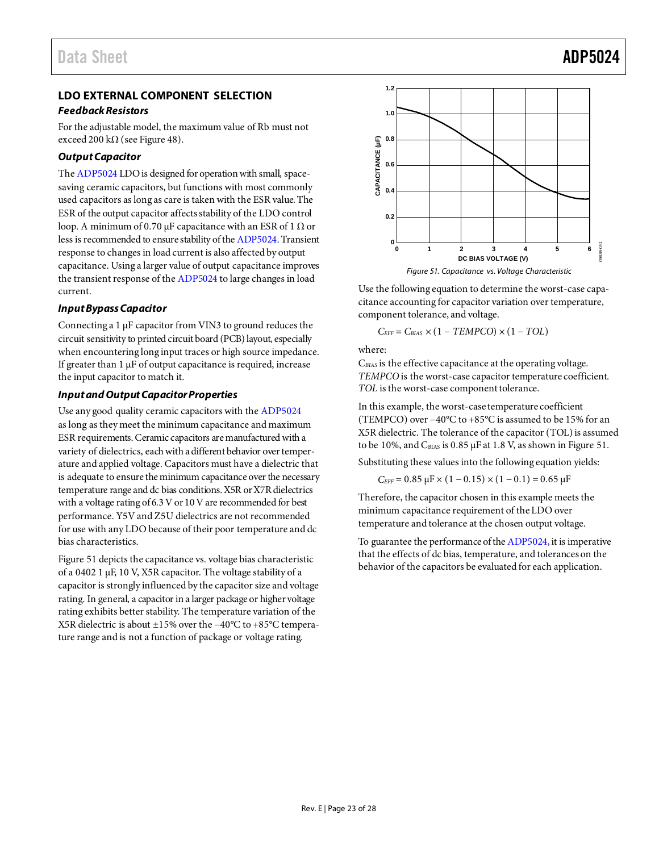### <span id="page-23-0"></span>**LDO EXTERNAL COMPONENT SELECTION**

### *Feedback Resistors*

For the adjustable model, the maximum value of Rb must not exceed 200 k $\Omega$  (se[e Figure 48\)](#page-20-1).

### *Output Capacitor*

Th[e ADP5024](http://www.analog.com/ADP5024?src=ADP5024.pdf) LDO is designed for operation with small, spacesaving ceramic capacitors, but functions with most commonly used capacitors as long as care is taken with the ESR value. The ESR of the output capacitor affects stability of the LDO control loop. A minimum of 0.70  $\mu$ F capacitance with an ESR of 1  $\Omega$  or less is recommended to ensure stability of th[e ADP5024.](http://www.analog.com/ADP5024?src=ADP5024.pdf)Transient response to changes in load current is also affected by output capacitance. Using a larger value of output capacitance improves the transient response of th[e ADP5024](http://www.analog.com/ADP5024?src=ADP5024.pdf) to large changes in load current.

### *Input Bypass Capacitor*

Connecting a 1 µF capacitor from VIN3 to ground reduces the circuit sensitivity to printed circuit board (PCB) layout, especially when encountering long input traces or high source impedance. If greater than  $1 \mu$ F of output capacitance is required, increase the input capacitor to match it.

### *Input and Output Capacitor Properties*

Use any good quality ceramic capacitors with th[e ADP5024](http://www.analog.com/ADP5024?src=ADP5024.pdf) as long as they meet the minimum capacitance and maximum ESR requirements. Ceramic capacitors are manufactured with a variety of dielectrics, each with a different behavior over temperature and applied voltage. Capacitors must have a dielectric that is adequate to ensure the minimum capacitance over the necessary temperature range and dc bias conditions. X5R or X7R dielectrics with a voltage rating of 6.3 V or 10 V are recommended for best performance. Y5V and Z5U dielectrics are not recommended for use with any LDO because of their poor temperature and dc bias characteristics.

[Figure 51](#page-23-1) depicts the capacitance vs. voltage bias characteristic of a 0402 1 µF, 10 V, X5R capacitor. The voltage stability of a capacitor is strongly influenced by the capacitor size and voltage rating. In general, a capacitor in a larger package or higher voltage rating exhibits better stability. The temperature variation of the X5R dielectric is about ±15% over the −40°C to +85°C temperature range and is not a function of package or voltage rating.

![](_page_23_Figure_12.jpeg)

<span id="page-23-1"></span>Use the following equation to determine the worst-case capacitance accounting for capacitor variation over temperature, component tolerance, and voltage.

$$
C_{EFF} = C_{BIAS} \times (1 - TEMPCO) \times (1 - TOL)
$$

where:

C*BIAS* is the effective capacitance at the operating voltage. *TEMPCO* is the worst-case capacitor temperature coefficient. *TOL* is the worst-case component tolerance.

In this example, the worst-case temperature coefficient (TEMPCO) over −40°C to +85°C is assumed to be 15% for an X5R dielectric. The tolerance of the capacitor (TOL) is assumed to be 10%, and  $C_{BIAS}$  is 0.85  $\mu$ F at 1.8 V, as shown i[n Figure 51.](#page-23-1)

Substituting these values into the following equation yields:

$$
C_{\text{EFF}} = 0.85 \ \mu F \times (1 - 0.15) \times (1 - 0.1) = 0.65 \ \mu F
$$

Therefore, the capacitor chosen in this example meets the minimum capacitance requirement of the LDO over temperature and tolerance at the chosen output voltage.

To guarantee the performance of th[e ADP5024,](http://www.analog.com/ADP5024?src=ADP5024.pdf) it is imperative that the effects of dc bias, temperature, and tolerances on the behavior of the capacitors be evaluated for each application.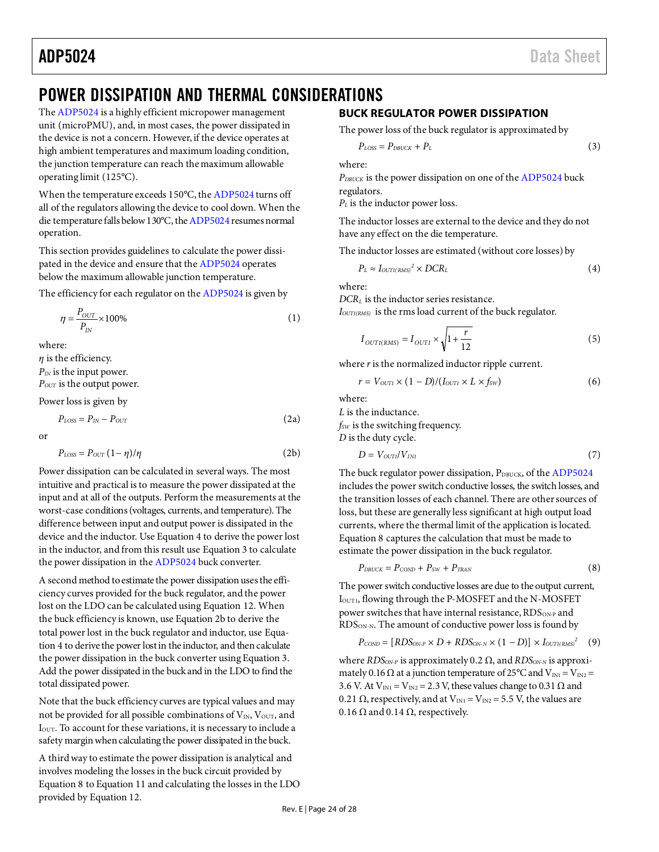## <span id="page-24-0"></span>POWER DISSIPATION AND THERMAL CONSIDERATIONS

Th[e ADP5024](http://www.analog.com/ADP5024?src=ADP5024.pdf) is a highly efficient micropower management unit (microPMU), and, in most cases, the power dissipated in the device is not a concern. However, if the device operates at high ambient temperatures and maximum loading condition, the junction temperature can reach the maximum allowable operating limit (125°C).

When the temperature exceeds 150°C, th[e ADP5024](http://www.analog.com/ADP5024?src=ADP5024.pdf) turns off all of the regulators allowing the device to cool down. When the die temperature falls below 130°C, th[e ADP5024](http://www.analog.com/ADP5024?src=ADP5024.pdf) resumes normal operation.

This section provides guidelines to calculate the power dissipated in the device and ensure that th[e ADP5024](http://www.analog.com/ADP5024?src=ADP5024.pdf) operates below the maximum allowable junction temperature.

The efficiency for each regulator on th[e ADP5024](http://www.analog.com/ADP5024?src=ADP5024.pdf) is given by

$$
\eta = \frac{P_{OUT}}{P_{IN}} \times 100\%
$$
\n<sup>(1)</sup>

where:

*η* is the efficiency. *PIN* is the input power.  $P<sub>OUT</sub>$  is the output power.

Power loss is given by

$$
P_{LOS} = P_{IN} - P_{OUT} \tag{2a}
$$

or

$$
P_{LOSS} = P_{OUT} (1 - \eta)/\eta
$$
 (2b)

Power dissipation can be calculated in several ways. The most intuitive and practical is to measure the power dissipated at the input and at all of the outputs. Perform the measurements at the worst-case conditions (voltages, currents, and temperature). The difference between input and output power is dissipated in the device and the inductor. Use Equation 4 to derive the power lost in the inductor, and from this result use Equation 3 to calculate the power dissipation in th[e ADP5024](http://www.analog.com/ADP5024?src=ADP5024.pdf) buck converter.

A second method to estimate the power dissipation uses the efficiency curves provided for the buck regulator, and the power lost on the LDO can be calculated using Equation 12. When the buck efficiency is known, use Equation 2b to derive the total power lost in the buck regulator and inductor, use Equation 4 to derive the power lost in the inductor, and then calculate the power dissipation in the buck converter using Equation 3. Add the power dissipated in the buck and in the LDO to find the total dissipated power.

Note that the buck efficiency curves are typical values and may not be provided for all possible combinations of  $V_{IN}$ ,  $V_{OUT}$ , and IOUT. To account for these variations, it is necessary to include a safety margin when calculating the power dissipated in the buck.

A third way to estimate the power dissipation is analytical and involves modeling the losses in the buck circuit provided by Equation 8 to Equation 11 and calculating the losses in the LDO provided by Equation 12.

### <span id="page-24-1"></span>**BUCK REGULATOR POWER DISSIPATION**

The power loss of the buck regulator is approximated by

$$
P_{LOSS} = P_{DBUCK} + P_L \tag{3}
$$

where:

*PDBUCK* is the power dissipation on one of th[e ADP5024](http://www.analog.com/ADP5024?src=ADP5024.pdf) buck regulators.

*P<sub>L</sub>* is the inductor power loss.

The inductor losses are external to the device and they do not have any effect on the die temperature.

The inductor losses are estimated (without core losses) by

$$
P_L \approx I_{OUTI(RMS)}^2 \times DCR_L \tag{4}
$$

where:

*DCRL* is the inductor series resistance.

*I*<sub>OUT1(RMS)</sub> is the rms load current of the buck regulator.

$$
I_{OUTI(RMS)} = I_{OUTI} \times \sqrt{1 + \frac{r}{12}}
$$
\n(5)

where *r* is the normalized inductor ripple current.

$$
r = V_{\text{OUT1}} \times (1 - D)/(I_{\text{OUT1}} \times L \times f_{\text{SW}}) \tag{6}
$$

where:

*L* is the inductance.

*fSW* is the switching frequency.

*D* is the duty cycle.

$$
D = V_{\text{OUT1}} / V_{\text{INI}} \tag{7}
$$

The buck regulator power dissipation, PDBUCK, of th[e ADP5024](http://www.analog.com/ADP5024?src=ADP5024.pdf) includes the power switch conductive losses, the switch losses, and the transition losses of each channel. There are other sources of loss, but these are generally less significant at high output load currents, where the thermal limit of the application is located. Equation 8 captures the calculation that must be made to estimate the power dissipation in the buck regulator.

$$
P_{DBUCK} = P_{COMP} + P_{SW} + P_{TRAN} \tag{8}
$$

The power switch conductive losses are due to the output current, I<sub>OUT1</sub>, flowing through the P-MOSFET and the N-MOSFET power switches that have internal resistance,  $\text{RDS}_\text{ON-P}$  and RDSON-N. The amount of conductive power loss is found by

$$
P_{\text{COMP}} = [RDS_{\text{ON-P}} \times D + RDS_{\text{ON-N}} \times (1-D)] \times I_{\text{OUTI(RMS})}^2 \quad (9)
$$

where *RDS<sub>ON-P</sub>* is approximately 0.2 Ω, and *RDS<sub>ON-N</sub>* is approximately 0.16  $\Omega$  at a junction temperature of 25°C and V<sub>IN1</sub> = V<sub>IN2</sub> = 3.6 V. At  $V_{IN1} = V_{IN2} = 2.3$  V, these values change to 0.31  $\Omega$  and 0.21  $\Omega$ , respectively, and at V<sub>IN1</sub> = V<sub>IN2</sub> = 5.5 V, the values are 0.16  $\Omega$  and 0.14  $\Omega$ , respectively.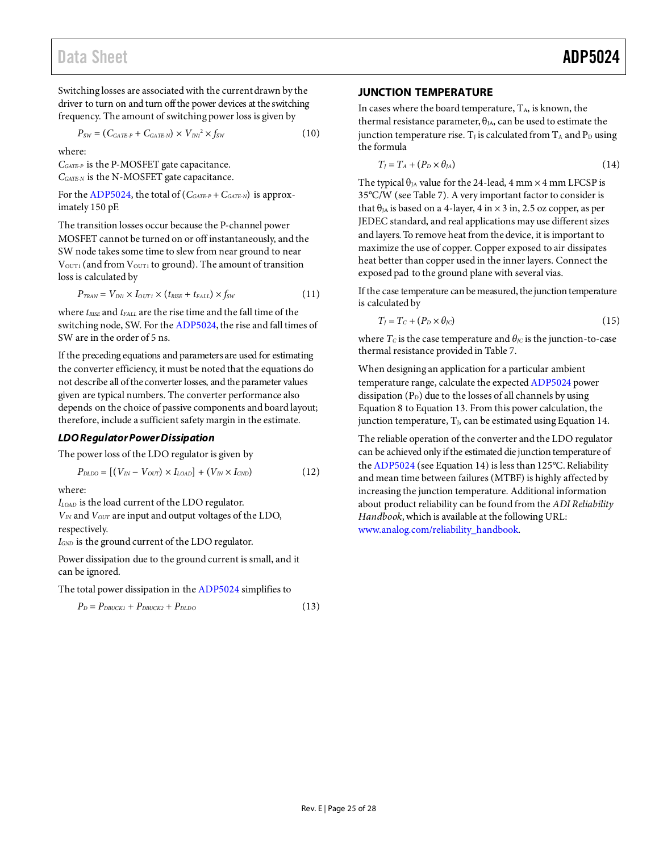Switching losses are associated with the current drawn by the driver to turn on and turn off the power devices at the switching frequency. The amount of switching power loss is given by

$$
P_{SW} = (C_{GATE\cdot P} + C_{GATE\cdot N}) \times V_{IN1}^2 \times f_{SW}
$$
 (10)

where:

*CGATE-P* is the P-MOSFET gate capacitance. *CGATE-N* is the N-MOSFET gate capacitance.

For th[e ADP5024,](http://www.analog.com/ADP5024?src=ADP5024.pdf) the total of  $(C_{GATE-P} + C_{GATE-N})$  is approximately 150 pF.

The transition losses occur because the P-channel power MOSFET cannot be turned on or off instantaneously, and the SW node takes some time to slew from near ground to near  $V<sub>OUT1</sub>$  (and from  $V<sub>OUT1</sub>$  to ground). The amount of transition loss is calculated by

$$
P_{\text{TRAN}} = V_{\text{IN1}} \times I_{\text{OUT1}} \times (t_{\text{RISE}} + t_{\text{FALL}}) \times f_{\text{SW}} \tag{11}
$$

where  $t_{\text{RISE}}$  and  $t_{\text{FALL}}$  are the rise time and the fall time of the switching node, SW. For th[e ADP5024,](http://www.analog.com/ADP5024?src=ADP5024.pdf) the rise and fall times of SW are in the order of 5 ns.

If the preceding equations and parameters are used for estimating the converter efficiency, it must be noted that the equations do not describe all of the converter losses, and the parameter values given are typical numbers. The converter performance also depends on the choice of passive components and board layout; therefore, include a sufficient safety margin in the estimate.

### *LDO Regulator Power Dissipation*

The power loss of the LDO regulator is given by

$$
P_{DLDO} = [(V_{IN} - V_{OUT}) \times I_{LOAD}] + (V_{IN} \times I_{GND}) \tag{12}
$$

where:

*ILOAD* is the load current of the LDO regulator.

*VIN* and *VOUT* are input and output voltages of the LDO, respectively.

*I<sub>GND</sub>* is the ground current of the LDO regulator.

Power dissipation due to the ground current is small, and it can be ignored.

The total power dissipation in th[e ADP5024](http://www.analog.com/ADP5024?src=ADP5024.pdf) simplifies to

$$
P_D = P_{DBUCK1} + P_{DBUCK2} + P_{DLDO} \tag{13}
$$

### <span id="page-25-0"></span>**JUNCTION TEMPERATURE**

In cases where the board temperature,  $T_A$ , is known, the thermal resistance parameter,  $\theta_{JA}$ , can be used to estimate the junction temperature rise.  $T_J$  is calculated from  $T_A$  and  $P_D$  using the formula

$$
T_J = T_A + (P_D \times \theta_{JA})
$$
\n(14)

The typical  $\theta_{JA}$  value for the 24-lead, 4 mm  $\times$  4 mm LFCSP is 35°C/W (se[e Table 7\)](#page-7-3). A very important factor to consider is that  $\theta_{JA}$  is based on a 4-layer, 4 in  $\times$  3 in, 2.5 oz copper, as per JEDEC standard, and real applications may use different sizes and layers. To remove heat from the device, it is important to maximize the use of copper. Copper exposed to air dissipates heat better than copper used in the inner layers. Connect the exposed pad to the ground plane with several vias.

If the case temperature can be measured, the junction temperature is calculated by

$$
T_J = T_C + (P_D \times \theta_{JC})
$$
\n<sup>(15)</sup>

where  $T_c$  is the case temperature and  $\theta_{\text{IC}}$  is the junction-to-case thermal resistance provided i[n Table 7.](#page-7-3)

When designing an application for a particular ambient temperature range, calculate the expecte[d ADP5024](http://www.analog.com/ADP5024?src=ADP5024.pdf) power dissipation  $(P_D)$  due to the losses of all channels by using Equation 8 to Equation 13. From this power calculation, the junction temperature,  $T<sub>J</sub>$ , can be estimated using Equation 14.

The reliable operation of the converter and the LDO regulator can be achieved only if the estimated die junction temperature of th[e ADP5024](http://www.analog.com/ADP5024?src=ADP5024.pdf) (see Equation 14) is less than 125°C. Reliability and mean time between failures (MTBF) is highly affected by increasing the junction temperature. Additional information about product reliability can be found from the *ADI Reliability Handbook*, which is available at the following URL: [www.analog.com/reliability\\_handbook](http://www.analog.com/reliability_handbook)*.*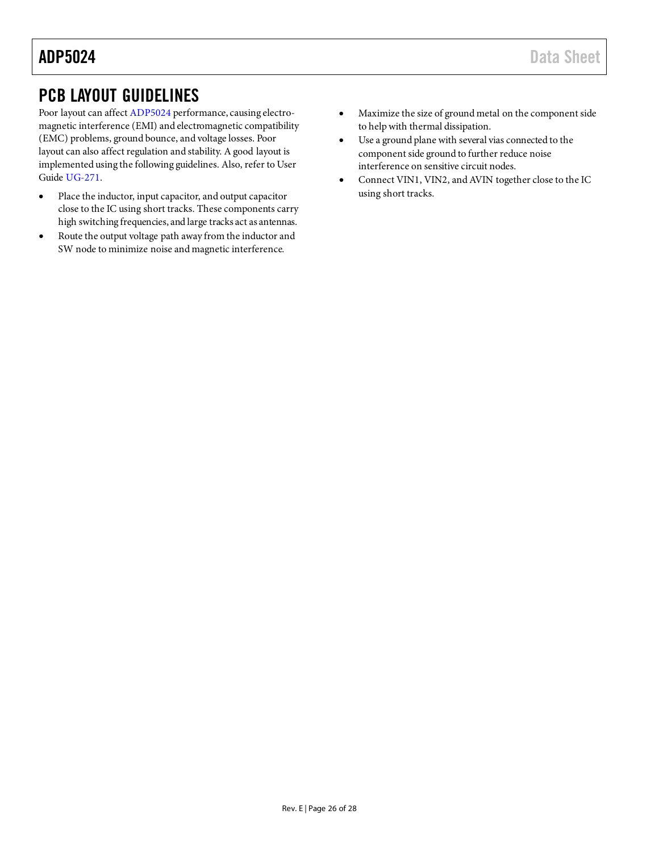## <span id="page-26-0"></span>PCB LAYOUT GUIDELINES

Poor layout can affec[t ADP5024](http://www.analog.com/ADP5024?src=ADP5024.pdf) performance, causing electromagnetic interference (EMI) and electromagnetic compatibility (EMC) problems, ground bounce, and voltage losses. Poor layout can also affect regulation and stability. A good layout is implemented using the following guidelines. Also, refer to User Guide [UG-271.](http://www.analog.com/ug-271)

- Place the inductor, input capacitor, and output capacitor close to the IC using short tracks. These components carry high switching frequencies, and large tracks act as antennas.
- Route the output voltage path away from the inductor and SW node to minimize noise and magnetic interference.
- Maximize the size of ground metal on the component side to help with thermal dissipation.
- Use a ground plane with several vias connected to the component side ground to further reduce noise interference on sensitive circuit nodes.
- Connect VIN1, VIN2, and AVIN together close to the IC using short tracks.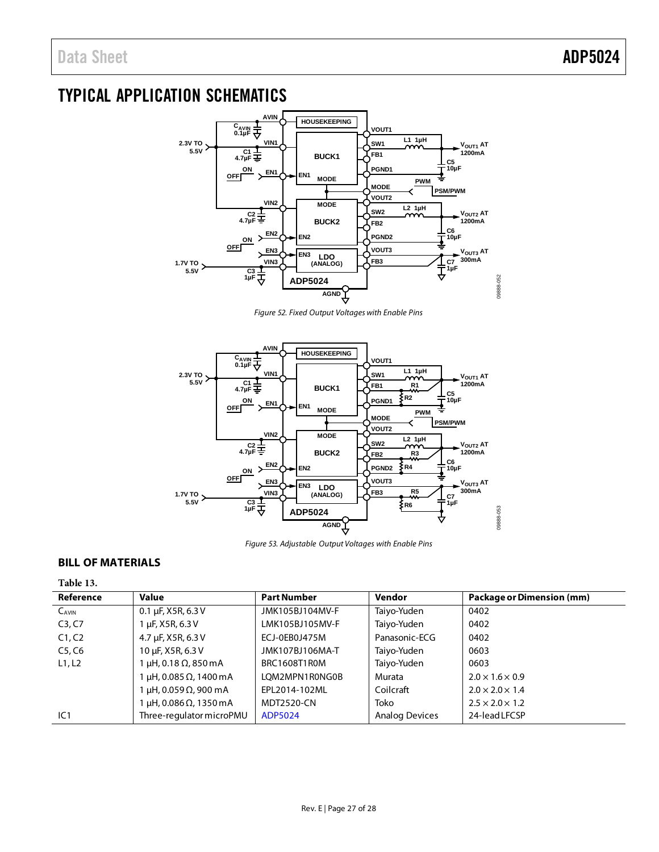## <span id="page-27-0"></span>TYPICAL APPLICATION SCHEMATICS

![](_page_27_Figure_3.jpeg)

*Figure 52. Fixed Output Voltages with Enable Pins*

![](_page_27_Figure_5.jpeg)

*Figure 53. Adjustable Output Voltages with Enable Pins*

### <span id="page-27-1"></span>**BILL OF MATERIALS**

### **Table 13.**

| Reference  | <b>Value</b>             | <b>Part Number</b> | Vendor                | Package or Dimension (mm)   |
|------------|--------------------------|--------------------|-----------------------|-----------------------------|
| $C_{AVIN}$ | 0.1 µF, X5R, 6.3 V       | JMK105BJ104MV-F    | Taiyo-Yuden           | 0402                        |
| C3, C7     | LuF, X5R, 6.3 V          | LMK105BJ105MV-F    | Taiyo-Yuden           | 0402                        |
| C1, C2     | 4.7 µF, X5R, 6.3 V       | ECJ-0EB0J475M      | Panasonic-ECG         | 0402                        |
| C5, C6     | 10 µF, X5R, 6.3 V        | JMK107BJ106MA-T    | Taiyo-Yuden           | 0603                        |
| L1, L2     | μH, 0.18 Ω, 850 mA       | BRC1608T1R0M       | Taiyo-Yuden           | 0603                        |
|            | μH, 0.085 Ω, 1400 mA     | LOM2MPN1R0NG0B     | Murata                | $2.0 \times 1.6 \times 0.9$ |
|            | μH, 0.059Ω, 900 mA       | EPL2014-102ML      | Coilcraft             | $2.0 \times 2.0 \times 1.4$ |
|            | μH, 0.086 Ω, 1350 m A    | <b>MDT2520-CN</b>  | Toko                  | $2.5 \times 2.0 \times 1.2$ |
| IC1        | Three-regulator microPMU | ADP5024            | <b>Analog Devices</b> | 24-lead LFCSP               |